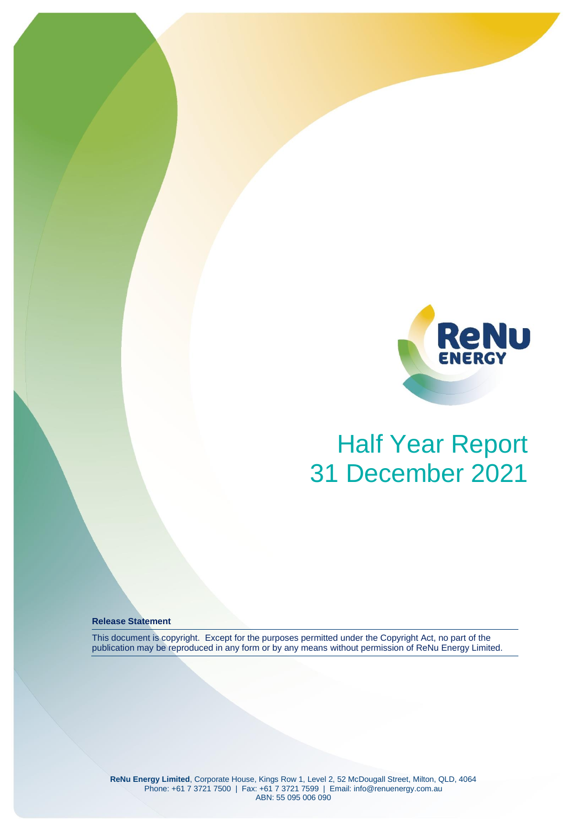

# Half Year Report 31 December 2021

**Release Statement**

This document is copyright. Except for the purposes permitted under the Copyright Act, no part of the publication may be reproduced in any form or by any means without permission of ReNu Energy Limited.

**ReNu Energy Limited**, Corporate House, Kings Row 1, Level 2, 52 McDougall Street, Milton, QLD, 4064 Phone: +61 7 3721 7500 | Fax: +61 7 3721 7599 | Email: [info@renuenergy.com.au](mailto:info@renuenergy.com.au) ABN: 55 095 006 090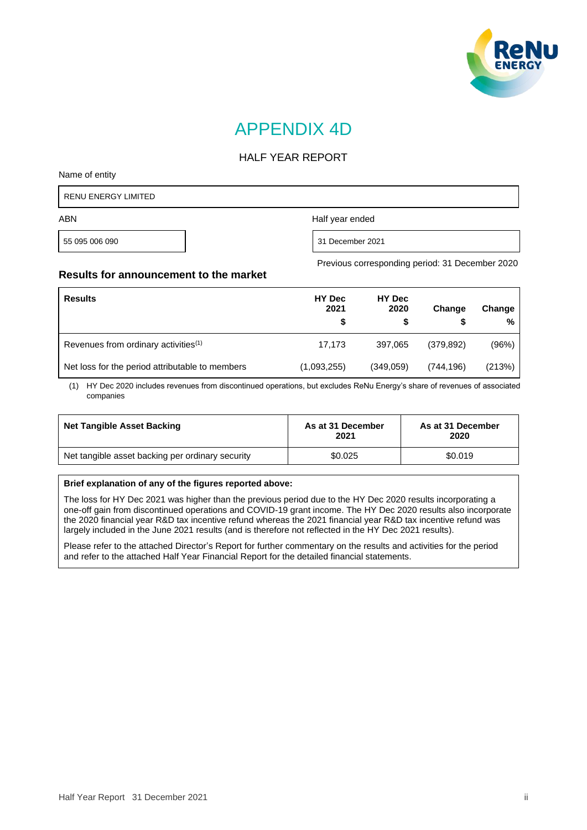

Previous corresponding period: 31 December 2020

## APPENDIX 4D

### HALF YEAR REPORT

Name of entity

| <b>RENU ENERGY LIMITED</b> |                  |
|----------------------------|------------------|
| <b>ABN</b>                 | Half year ended  |
| 55 095 006 090             | 31 December 2021 |

### **Results for announcement to the market**

| <b>Results</b>                                   | <b>HY Dec</b><br>2021 | <b>HY</b> Dec<br>2020<br>S | Change     | Change<br>% |
|--------------------------------------------------|-----------------------|----------------------------|------------|-------------|
| Revenues from ordinary activities <sup>(1)</sup> | 17,173                | 397.065                    | (379, 892) | (96%)       |
| Net loss for the period attributable to members  | (1,093,255)           | (349,059)                  | (744, 196) | (213%)      |

(1) HY Dec 2020 includes revenues from discontinued operations, but excludes ReNu Energy's share of revenues of associated companies

| Net Tangible Asset Backing                       | As at 31 December<br>2021 | As at 31 December<br>2020 |
|--------------------------------------------------|---------------------------|---------------------------|
| Net tangible asset backing per ordinary security | \$0.025                   | \$0.019                   |

#### **Brief explanation of any of the figures reported above:**

The loss for HY Dec 2021 was higher than the previous period due to the HY Dec 2020 results incorporating a one-off gain from discontinued operations and COVID-19 grant income. The HY Dec 2020 results also incorporate the 2020 financial year R&D tax incentive refund whereas the 2021 financial year R&D tax incentive refund was largely included in the June 2021 results (and is therefore not reflected in the HY Dec 2021 results).

Please refer to the attached Director's Report for further commentary on the results and activities for the period and refer to the attached Half Year Financial Report for the detailed financial statements.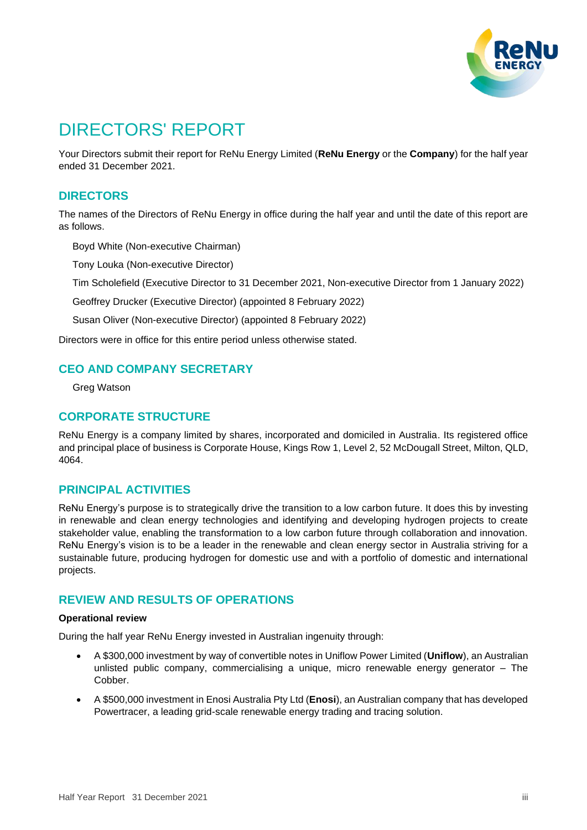

# DIRECTORS' REPORT

Your Directors submit their report for ReNu Energy Limited (**ReNu Energy** or the **Company**) for the half year ended 31 December 2021.

## **DIRECTORS**

The names of the Directors of ReNu Energy in office during the half year and until the date of this report are as follows.

Boyd White (Non-executive Chairman)

Tony Louka (Non-executive Director)

Tim Scholefield (Executive Director to 31 December 2021, Non-executive Director from 1 January 2022)

Geoffrey Drucker (Executive Director) (appointed 8 February 2022)

Susan Oliver (Non-executive Director) (appointed 8 February 2022)

Directors were in office for this entire period unless otherwise stated.

## **CEO AND COMPANY SECRETARY**

Greg Watson

## **CORPORATE STRUCTURE**

ReNu Energy is a company limited by shares, incorporated and domiciled in Australia. Its registered office and principal place of business is Corporate House, Kings Row 1, Level 2, 52 McDougall Street, Milton, QLD, 4064.

## **PRINCIPAL ACTIVITIES**

ReNu Energy's purpose is to strategically drive the transition to a low carbon future. It does this by investing in renewable and clean energy technologies and identifying and developing hydrogen projects to create stakeholder value, enabling the transformation to a low carbon future through collaboration and innovation. ReNu Energy's vision is to be a leader in the renewable and clean energy sector in Australia striving for a sustainable future, producing hydrogen for domestic use and with a portfolio of domestic and international projects.

## **REVIEW AND RESULTS OF OPERATIONS**

### **Operational review**

During the half year ReNu Energy invested in Australian ingenuity through:

- A \$300,000 investment by way of convertible notes in Uniflow Power Limited (**Uniflow**), an Australian unlisted public company, commercialising a unique, micro renewable energy generator – The Cobber.
- A \$500,000 investment in Enosi Australia Pty Ltd (**Enosi**), an Australian company that has developed Powertracer, a leading grid-scale renewable energy trading and tracing solution.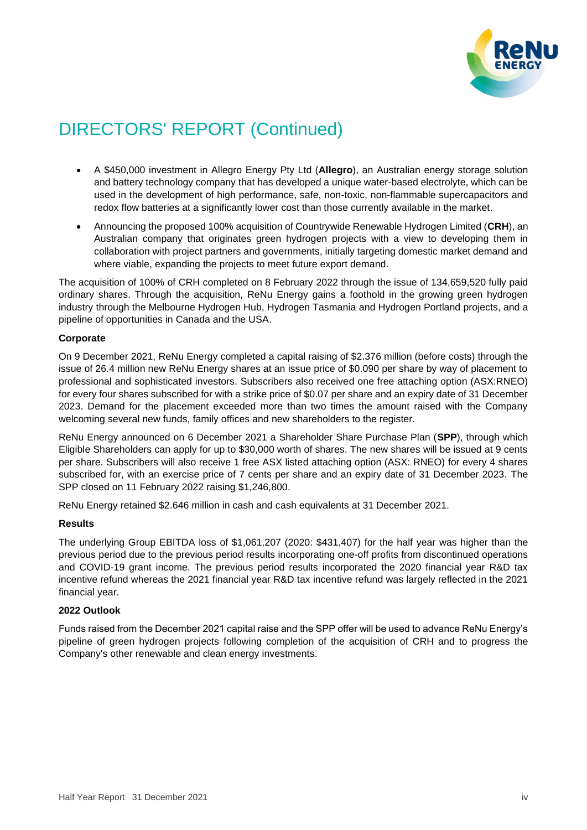

# DIRECTORS' REPORT (Continued)

- A \$450,000 investment in Allegro Energy Pty Ltd (**Allegro**), an Australian energy storage solution and battery technology company that has developed a unique water-based electrolyte, which can be used in the development of high performance, safe, non-toxic, non-flammable supercapacitors and redox flow batteries at a significantly lower cost than those currently available in the market.
- Announcing the proposed 100% acquisition of Countrywide Renewable Hydrogen Limited (**CRH**), an Australian company that originates green hydrogen projects with a view to developing them in collaboration with project partners and governments, initially targeting domestic market demand and where viable, expanding the projects to meet future export demand.

The acquisition of 100% of CRH completed on 8 February 2022 through the issue of 134,659,520 fully paid ordinary shares. Through the acquisition, ReNu Energy gains a foothold in the growing green hydrogen industry through the Melbourne Hydrogen Hub, Hydrogen Tasmania and Hydrogen Portland projects, and a pipeline of opportunities in Canada and the USA.

### **Corporate**

On 9 December 2021, ReNu Energy completed a capital raising of \$2.376 million (before costs) through the issue of 26.4 million new ReNu Energy shares at an issue price of \$0.090 per share by way of placement to professional and sophisticated investors. Subscribers also received one free attaching option (ASX:RNEO) for every four shares subscribed for with a strike price of \$0.07 per share and an expiry date of 31 December 2023. Demand for the placement exceeded more than two times the amount raised with the Company welcoming several new funds, family offices and new shareholders to the register.

ReNu Energy announced on 6 December 2021 a Shareholder Share Purchase Plan (**SPP**), through which Eligible Shareholders can apply for up to \$30,000 worth of shares. The new shares will be issued at 9 cents per share. Subscribers will also receive 1 free ASX listed attaching option (ASX: RNEO) for every 4 shares subscribed for, with an exercise price of 7 cents per share and an expiry date of 31 December 2023. The SPP closed on 11 February 2022 raising \$1,246,800.

ReNu Energy retained \$2.646 million in cash and cash equivalents at 31 December 2021.

### **Results**

The underlying Group EBITDA loss of \$1,061,207 (2020: \$431,407) for the half year was higher than the previous period due to the previous period results incorporating one-off profits from discontinued operations and COVID-19 grant income. The previous period results incorporated the 2020 financial year R&D tax incentive refund whereas the 2021 financial year R&D tax incentive refund was largely reflected in the 2021 financial year.

### **2022 Outlook**

Funds raised from the December 2021 capital raise and the SPP offer will be used to advance ReNu Energy's pipeline of green hydrogen projects following completion of the acquisition of CRH and to progress the Company's other renewable and clean energy investments.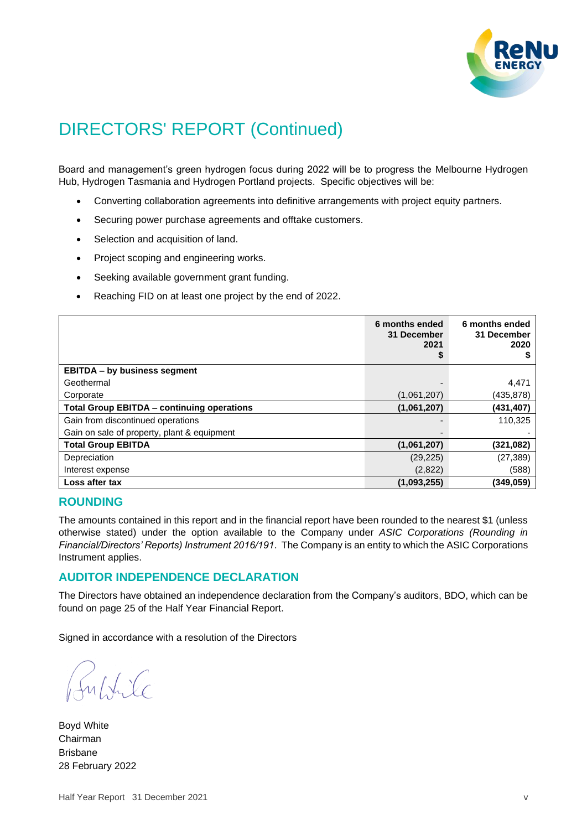

# DIRECTORS' REPORT (Continued)

Board and management's green hydrogen focus during 2022 will be to progress the Melbourne Hydrogen Hub, Hydrogen Tasmania and Hydrogen Portland projects. Specific objectives will be:

- Converting collaboration agreements into definitive arrangements with project equity partners.
- Securing power purchase agreements and offtake customers.
- Selection and acquisition of land.
- Project scoping and engineering works.
- Seeking available government grant funding.
- Reaching FID on at least one project by the end of 2022.

|                                                   | 6 months ended<br>31 December<br>2021<br>P | 6 months ended<br>31 December<br>2020 |
|---------------------------------------------------|--------------------------------------------|---------------------------------------|
| <b>EBITDA - by business segment</b>               |                                            |                                       |
| Geothermal                                        |                                            | 4,471                                 |
| Corporate                                         | (1,061,207)                                | (435,878)                             |
| <b>Total Group EBITDA - continuing operations</b> | (1,061,207)                                | (431, 407)                            |
| Gain from discontinued operations                 |                                            | 110,325                               |
| Gain on sale of property, plant & equipment       |                                            |                                       |
| <b>Total Group EBITDA</b>                         | (1,061,207)                                | (321,082)                             |
| Depreciation                                      | (29, 225)                                  | (27, 389)                             |
| Interest expense                                  | (2,822)                                    | (588)                                 |
| Loss after tax                                    | (1,093,255)                                | (349,059)                             |

### **ROUNDING**

The amounts contained in this report and in the financial report have been rounded to the nearest \$1 (unless otherwise stated) under the option available to the Company under *ASIC Corporations (Rounding in Financial/Directors' Reports) Instrument 2016/191*. The Company is an entity to which the ASIC Corporations Instrument applies.

### **AUDITOR INDEPENDENCE DECLARATION**

The Directors have obtained an independence declaration from the Company's auditors, BDO, which can be found on page 25 of the Half Year Financial Report.

Signed in accordance with a resolution of the Directors

Fultile

Boyd White Chairman Brisbane 28 February 2022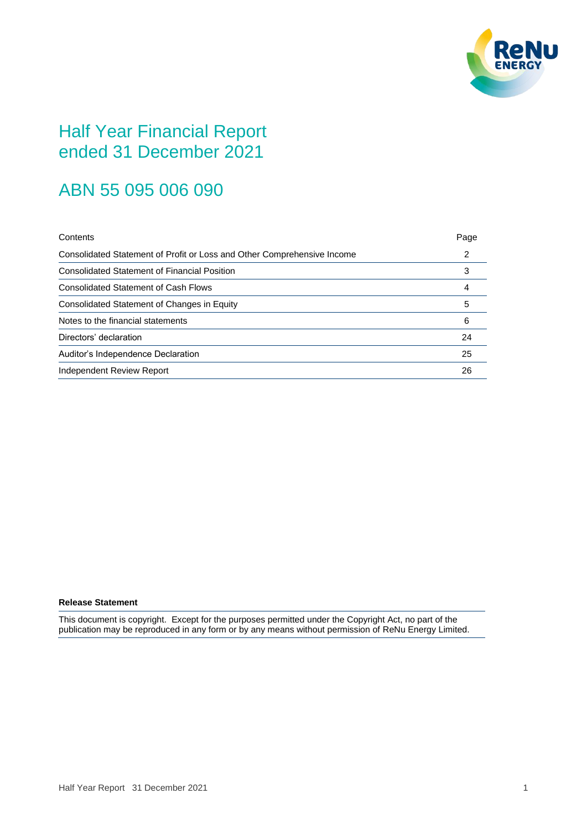

## Half Year Financial Report ended 31 December 2021

# ABN 55 095 006 090

| Contents                                                                | Page |
|-------------------------------------------------------------------------|------|
| Consolidated Statement of Profit or Loss and Other Comprehensive Income | 2    |
| <b>Consolidated Statement of Financial Position</b>                     | 3    |
| <b>Consolidated Statement of Cash Flows</b>                             | 4    |
| Consolidated Statement of Changes in Equity                             | 5    |
| Notes to the financial statements                                       | 6    |
| Directors' declaration                                                  | 24   |
| Auditor's Independence Declaration                                      | 25   |
| Independent Review Report                                               | 26   |

### **Release Statement**

This document is copyright. Except for the purposes permitted under the Copyright Act, no part of the publication may be reproduced in any form or by any means without permission of ReNu Energy Limited.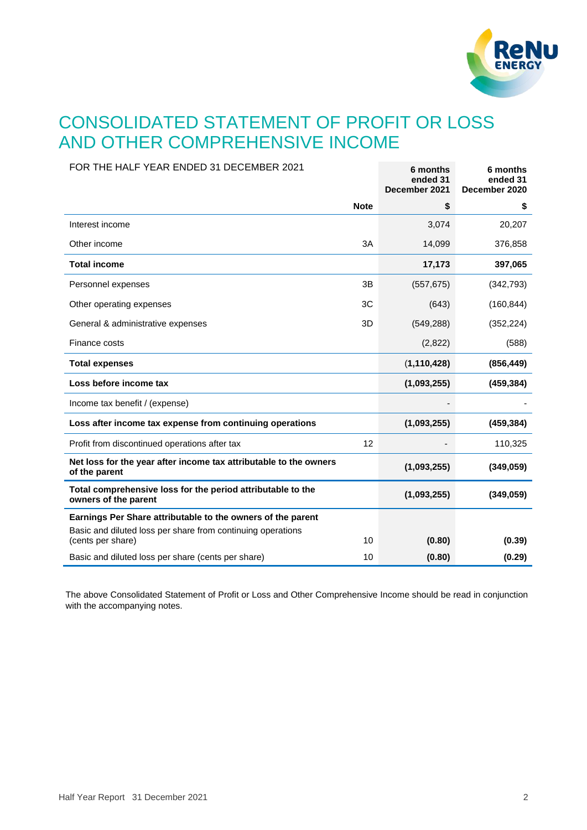

# CONSOLIDATED STATEMENT OF PROFIT OR LOSS AND OTHER COMPREHENSIVE INCOME

| FOR THE HALF YEAR ENDED 31 DECEMBER 2021                                            |             | 6 months<br>ended 31<br>December 2021 | 6 months<br>ended 31<br>December 2020 |
|-------------------------------------------------------------------------------------|-------------|---------------------------------------|---------------------------------------|
|                                                                                     | <b>Note</b> | \$                                    | \$                                    |
| Interest income                                                                     |             | 3,074                                 | 20,207                                |
| Other income                                                                        | 3A          | 14,099                                | 376,858                               |
| <b>Total income</b>                                                                 |             | 17,173                                | 397,065                               |
| Personnel expenses                                                                  | 3B          | (557, 675)                            | (342, 793)                            |
| Other operating expenses                                                            | 3C          | (643)                                 | (160, 844)                            |
| General & administrative expenses                                                   | 3D          | (549, 288)                            | (352, 224)                            |
| Finance costs                                                                       |             | (2,822)                               | (588)                                 |
| <b>Total expenses</b>                                                               |             | (1, 110, 428)                         | (856, 449)                            |
| Loss before income tax                                                              |             | (1,093,255)                           | (459, 384)                            |
| Income tax benefit / (expense)                                                      |             |                                       |                                       |
| Loss after income tax expense from continuing operations                            |             | (1,093,255)                           | (459, 384)                            |
| Profit from discontinued operations after tax                                       | 12          |                                       | 110,325                               |
| Net loss for the year after income tax attributable to the owners<br>of the parent  |             | (1,093,255)                           | (349, 059)                            |
| Total comprehensive loss for the period attributable to the<br>owners of the parent |             | (1,093,255)                           | (349, 059)                            |
| Earnings Per Share attributable to the owners of the parent                         |             |                                       |                                       |
| Basic and diluted loss per share from continuing operations<br>(cents per share)    | 10          | (0.80)                                | (0.39)                                |
| Basic and diluted loss per share (cents per share)                                  | 10          | (0.80)                                | (0.29)                                |

The above Consolidated Statement of Profit or Loss and Other Comprehensive Income should be read in conjunction with the accompanying notes.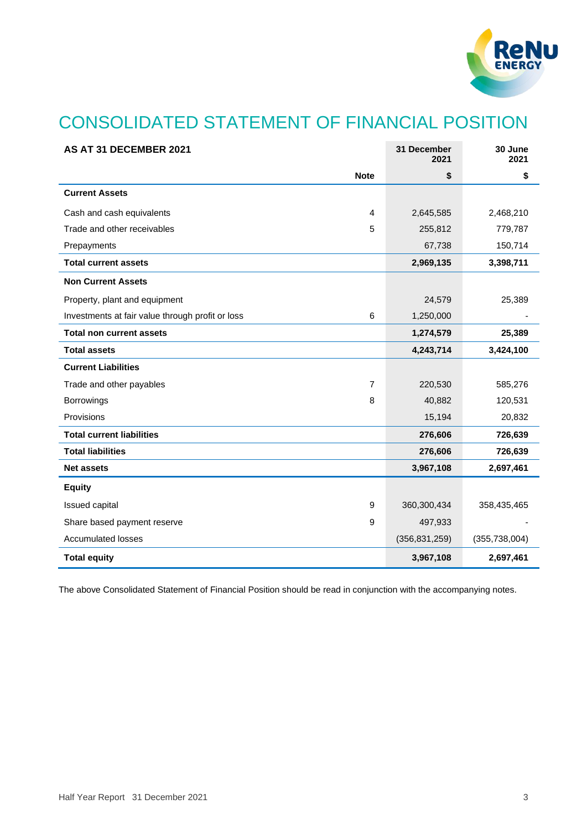

# CONSOLIDATED STATEMENT OF FINANCIAL POSITION

| AS AT 31 DECEMBER 2021                           |                | 31 December<br>2021 | 30 June<br>2021 |
|--------------------------------------------------|----------------|---------------------|-----------------|
|                                                  | <b>Note</b>    | \$                  | \$              |
| <b>Current Assets</b>                            |                |                     |                 |
| Cash and cash equivalents                        | 4              | 2,645,585           | 2,468,210       |
| Trade and other receivables                      | 5              | 255,812             | 779,787         |
| Prepayments                                      |                | 67,738              | 150,714         |
| <b>Total current assets</b>                      |                | 2,969,135           | 3,398,711       |
| <b>Non Current Assets</b>                        |                |                     |                 |
| Property, plant and equipment                    |                | 24,579              | 25,389          |
| Investments at fair value through profit or loss | 6              | 1,250,000           |                 |
| <b>Total non current assets</b>                  |                | 1,274,579           | 25,389          |
| <b>Total assets</b>                              |                | 4,243,714           | 3,424,100       |
| <b>Current Liabilities</b>                       |                |                     |                 |
| Trade and other payables                         | $\overline{7}$ | 220,530             | 585,276         |
| Borrowings                                       | 8              | 40,882              | 120,531         |
| Provisions                                       |                | 15,194              | 20,832          |
| <b>Total current liabilities</b>                 |                | 276,606             | 726,639         |
| <b>Total liabilities</b>                         |                | 276,606             | 726,639         |
| <b>Net assets</b>                                |                | 3,967,108           | 2,697,461       |
| <b>Equity</b>                                    |                |                     |                 |
| Issued capital                                   | 9              | 360,300,434         | 358,435,465     |
| Share based payment reserve                      | 9              | 497,933             |                 |
| <b>Accumulated losses</b>                        |                | (356, 831, 259)     | (355, 738, 004) |
| <b>Total equity</b>                              |                | 3,967,108           | 2,697,461       |

The above Consolidated Statement of Financial Position should be read in conjunction with the accompanying notes.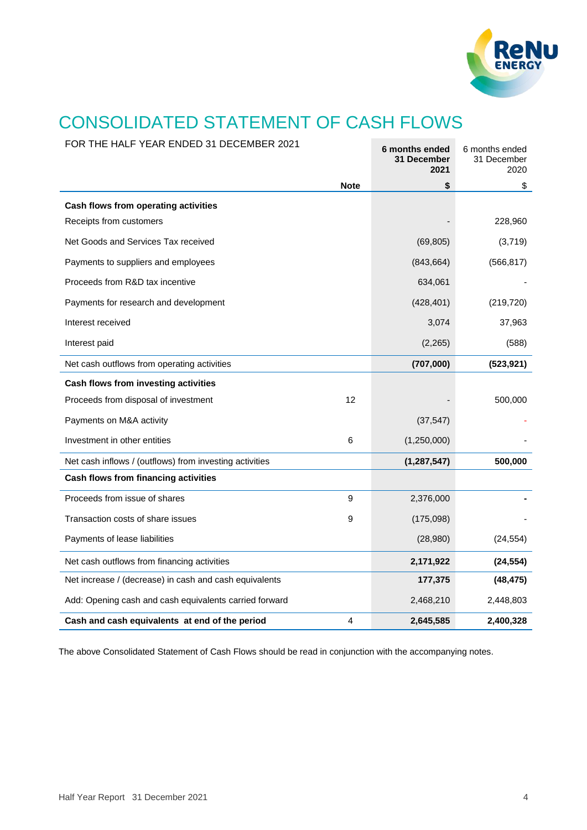

# CONSOLIDATED STATEMENT OF CASH FLOWS

| FOR THE HALF YEAR ENDED 31 DECEMBER 2021                |             | 6 months ended<br>31 December<br>2021 | 6 months ended<br>31 December<br>2020 |
|---------------------------------------------------------|-------------|---------------------------------------|---------------------------------------|
|                                                         | <b>Note</b> | \$                                    | \$                                    |
| Cash flows from operating activities                    |             |                                       |                                       |
| Receipts from customers                                 |             |                                       | 228,960                               |
| Net Goods and Services Tax received                     |             | (69, 805)                             | (3,719)                               |
| Payments to suppliers and employees                     |             | (843, 664)                            | (566, 817)                            |
| Proceeds from R&D tax incentive                         |             | 634,061                               |                                       |
| Payments for research and development                   |             | (428, 401)                            | (219, 720)                            |
| Interest received                                       |             | 3,074                                 | 37,963                                |
| Interest paid                                           |             | (2,265)                               | (588)                                 |
| Net cash outflows from operating activities             |             | (707,000)                             | (523, 921)                            |
| Cash flows from investing activities                    |             |                                       |                                       |
| Proceeds from disposal of investment                    | 12          |                                       | 500,000                               |
| Payments on M&A activity                                |             | (37, 547)                             |                                       |
| Investment in other entities                            | 6           | (1,250,000)                           |                                       |
| Net cash inflows / (outflows) from investing activities |             | (1, 287, 547)                         | 500,000                               |
| Cash flows from financing activities                    |             |                                       |                                       |
| Proceeds from issue of shares                           | 9           | 2,376,000                             |                                       |
| Transaction costs of share issues                       | 9           | (175,098)                             |                                       |
| Payments of lease liabilities                           |             | (28,980)                              | (24, 554)                             |
| Net cash outflows from financing activities             |             | 2,171,922                             | (24, 554)                             |
| Net increase / (decrease) in cash and cash equivalents  |             | 177,375                               | (48, 475)                             |
| Add: Opening cash and cash equivalents carried forward  |             | 2,468,210                             | 2,448,803                             |
| Cash and cash equivalents at end of the period          | 4           | 2,645,585                             | 2,400,328                             |

The above Consolidated Statement of Cash Flows should be read in conjunction with the accompanying notes.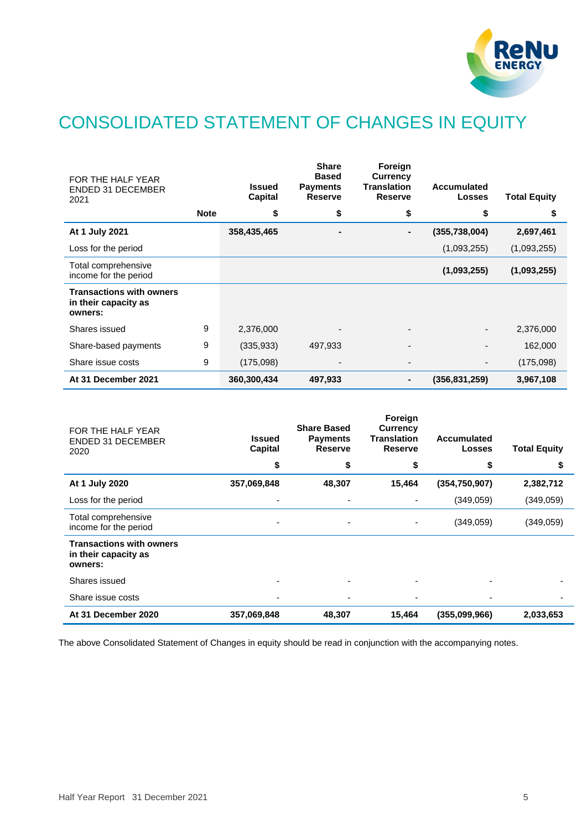

# CONSOLIDATED STATEMENT OF CHANGES IN EQUITY

| FOR THE HALF YEAR<br><b>ENDED 31 DECEMBER</b><br>2021              |             | Issued<br>Capital | <b>Share</b><br><b>Based</b><br><b>Payments</b><br><b>Reserve</b> | Foreign<br><b>Currency</b><br><b>Translation</b><br><b>Reserve</b> | <b>Accumulated</b><br><b>Losses</b> | <b>Total Equity</b> |
|--------------------------------------------------------------------|-------------|-------------------|-------------------------------------------------------------------|--------------------------------------------------------------------|-------------------------------------|---------------------|
|                                                                    | <b>Note</b> | \$                | \$                                                                | \$                                                                 | \$                                  | \$                  |
| At 1 July 2021                                                     |             | 358,435,465       |                                                                   | $\blacksquare$                                                     | (355, 738, 004)                     | 2,697,461           |
| Loss for the period                                                |             |                   |                                                                   |                                                                    | (1,093,255)                         | (1,093,255)         |
| Total comprehensive<br>income for the period                       |             |                   |                                                                   |                                                                    | (1,093,255)                         | (1,093,255)         |
| <b>Transactions with owners</b><br>in their capacity as<br>owners: |             |                   |                                                                   |                                                                    |                                     |                     |
| Shares issued                                                      | 9           | 2,376,000         |                                                                   |                                                                    |                                     | 2,376,000           |
| Share-based payments                                               | 9           | (335, 933)        | 497,933                                                           |                                                                    |                                     | 162,000             |
| Share issue costs                                                  | 9           | (175,098)         |                                                                   |                                                                    |                                     | (175,098)           |
| At 31 December 2021                                                |             | 360,300,434       | 497,933                                                           | $\blacksquare$                                                     | (356, 831, 259)                     | 3,967,108           |

| FOR THE HALF YEAR<br><b>ENDED 31 DECEMBER</b><br>2020              | <b>Issued</b><br>Capital | <b>Share Based</b><br><b>Payments</b><br><b>Reserve</b> | Foreign<br><b>Currency</b><br><b>Translation</b><br><b>Reserve</b> | Accumulated<br><b>Losses</b> | <b>Total Equity</b> |
|--------------------------------------------------------------------|--------------------------|---------------------------------------------------------|--------------------------------------------------------------------|------------------------------|---------------------|
|                                                                    | \$                       | \$                                                      | \$                                                                 | \$                           | S                   |
| At 1 July 2020                                                     | 357,069,848              | 48,307                                                  | 15,464                                                             | (354, 750, 907)              | 2,382,712           |
| Loss for the period                                                |                          |                                                         |                                                                    | (349,059)                    | (349,059)           |
| Total comprehensive<br>income for the period                       | ٠                        | ٠                                                       | ۰                                                                  | (349,059)                    | (349,059)           |
| <b>Transactions with owners</b><br>in their capacity as<br>owners: |                          |                                                         |                                                                    |                              |                     |
| Shares issued                                                      |                          |                                                         |                                                                    |                              |                     |
| Share issue costs                                                  |                          |                                                         |                                                                    |                              |                     |
| At 31 December 2020                                                | 357,069,848              | 48,307                                                  | 15,464                                                             | (355,099,966)                | 2,033,653           |

The above Consolidated Statement of Changes in equity should be read in conjunction with the accompanying notes.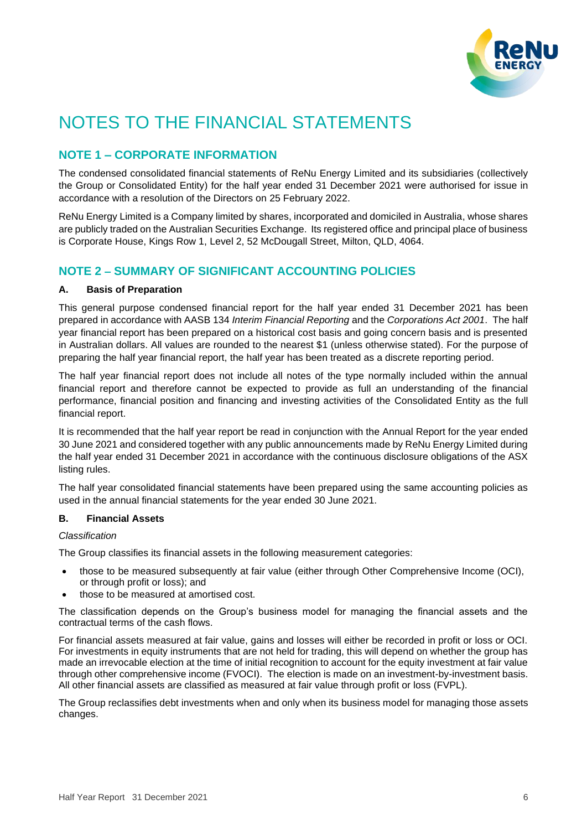

# NOTES TO THE FINANCIAL STATEMENTS

## **NOTE 1 – CORPORATE INFORMATION**

The condensed consolidated financial statements of ReNu Energy Limited and its subsidiaries (collectively the Group or Consolidated Entity) for the half year ended 31 December 2021 were authorised for issue in accordance with a resolution of the Directors on 25 February 2022.

ReNu Energy Limited is a Company limited by shares, incorporated and domiciled in Australia, whose shares are publicly traded on the Australian Securities Exchange. Its registered office and principal place of business is Corporate House, Kings Row 1, Level 2, 52 McDougall Street, Milton, QLD, 4064.

## **NOTE 2 – SUMMARY OF SIGNIFICANT ACCOUNTING POLICIES**

### **A. Basis of Preparation**

This general purpose condensed financial report for the half year ended 31 December 2021 has been prepared in accordance with AASB 134 *Interim Financial Reporting* and the *Corporations Act 2001*. The half year financial report has been prepared on a historical cost basis and going concern basis and is presented in Australian dollars. All values are rounded to the nearest \$1 (unless otherwise stated). For the purpose of preparing the half year financial report, the half year has been treated as a discrete reporting period.

The half year financial report does not include all notes of the type normally included within the annual financial report and therefore cannot be expected to provide as full an understanding of the financial performance, financial position and financing and investing activities of the Consolidated Entity as the full financial report.

It is recommended that the half year report be read in conjunction with the Annual Report for the year ended 30 June 2021 and considered together with any public announcements made by ReNu Energy Limited during the half year ended 31 December 2021 in accordance with the continuous disclosure obligations of the ASX listing rules.

The half year consolidated financial statements have been prepared using the same accounting policies as used in the annual financial statements for the year ended 30 June 2021.

### **B. Financial Assets**

### *Classification*

The Group classifies its financial assets in the following measurement categories:

- those to be measured subsequently at fair value (either through Other Comprehensive Income (OCI), or through profit or loss); and
- those to be measured at amortised cost.

The classification depends on the Group's business model for managing the financial assets and the contractual terms of the cash flows.

For financial assets measured at fair value, gains and losses will either be recorded in profit or loss or OCI. For investments in equity instruments that are not held for trading, this will depend on whether the group has made an irrevocable election at the time of initial recognition to account for the equity investment at fair value through other comprehensive income (FVOCI). The election is made on an investment-by-investment basis. All other financial assets are classified as measured at fair value through profit or loss (FVPL).

The Group reclassifies debt investments when and only when its business model for managing those assets changes.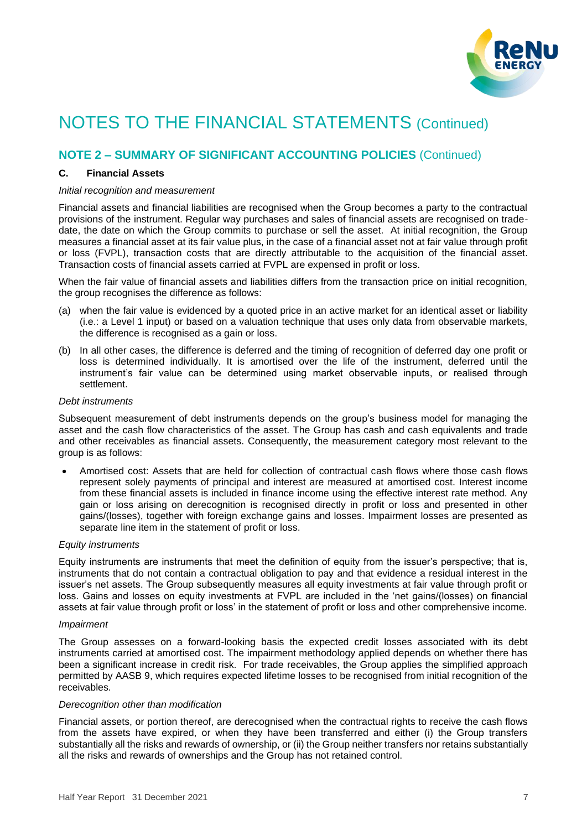

## **NOTE 2 – SUMMARY OF SIGNIFICANT ACCOUNTING POLICIES** (Continued)

### **C. Financial Assets**

### *Initial recognition and measurement*

Financial assets and financial liabilities are recognised when the Group becomes a party to the contractual provisions of the instrument. Regular way purchases and sales of financial assets are recognised on tradedate, the date on which the Group commits to purchase or sell the asset. At initial recognition, the Group measures a financial asset at its fair value plus, in the case of a financial asset not at fair value through profit or loss (FVPL), transaction costs that are directly attributable to the acquisition of the financial asset. Transaction costs of financial assets carried at FVPL are expensed in profit or loss.

When the fair value of financial assets and liabilities differs from the transaction price on initial recognition, the group recognises the difference as follows:

- (a) when the fair value is evidenced by a quoted price in an active market for an identical asset or liability (i.e.: a Level 1 input) or based on a valuation technique that uses only data from observable markets, the difference is recognised as a gain or loss.
- (b) In all other cases, the difference is deferred and the timing of recognition of deferred day one profit or loss is determined individually. It is amortised over the life of the instrument, deferred until the instrument's fair value can be determined using market observable inputs, or realised through settlement.

### *Debt instruments*

Subsequent measurement of debt instruments depends on the group's business model for managing the asset and the cash flow characteristics of the asset. The Group has cash and cash equivalents and trade and other receivables as financial assets. Consequently, the measurement category most relevant to the group is as follows:

• Amortised cost: Assets that are held for collection of contractual cash flows where those cash flows represent solely payments of principal and interest are measured at amortised cost. Interest income from these financial assets is included in finance income using the effective interest rate method. Any gain or loss arising on derecognition is recognised directly in profit or loss and presented in other gains/(losses), together with foreign exchange gains and losses. Impairment losses are presented as separate line item in the statement of profit or loss.

### *Equity instruments*

Equity instruments are instruments that meet the definition of equity from the issuer's perspective; that is, instruments that do not contain a contractual obligation to pay and that evidence a residual interest in the issuer's net assets. The Group subsequently measures all equity investments at fair value through profit or loss. Gains and losses on equity investments at FVPL are included in the 'net gains/(losses) on financial assets at fair value through profit or loss' in the statement of profit or loss and other comprehensive income.

#### *Impairment*

The Group assesses on a forward-looking basis the expected credit losses associated with its debt instruments carried at amortised cost. The impairment methodology applied depends on whether there has been a significant increase in credit risk. For trade receivables, the Group applies the simplified approach permitted by AASB 9, which requires expected lifetime losses to be recognised from initial recognition of the receivables.

### *Derecognition other than modification*

Financial assets, or portion thereof, are derecognised when the contractual rights to receive the cash flows from the assets have expired, or when they have been transferred and either (i) the Group transfers substantially all the risks and rewards of ownership, or (ii) the Group neither transfers nor retains substantially all the risks and rewards of ownerships and the Group has not retained control.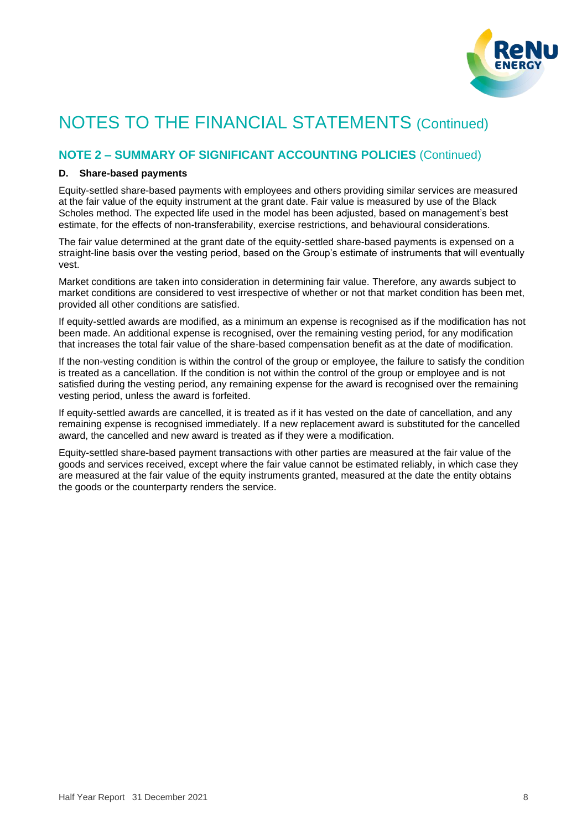

## **NOTE 2 – SUMMARY OF SIGNIFICANT ACCOUNTING POLICIES** (Continued)

### **D. Share-based payments**

Equity-settled share-based payments with employees and others providing similar services are measured at the fair value of the equity instrument at the grant date. Fair value is measured by use of the Black Scholes method. The expected life used in the model has been adjusted, based on management's best estimate, for the effects of non-transferability, exercise restrictions, and behavioural considerations.

The fair value determined at the grant date of the equity-settled share-based payments is expensed on a straight-line basis over the vesting period, based on the Group's estimate of instruments that will eventually vest.

Market conditions are taken into consideration in determining fair value. Therefore, any awards subject to market conditions are considered to vest irrespective of whether or not that market condition has been met, provided all other conditions are satisfied.

If equity-settled awards are modified, as a minimum an expense is recognised as if the modification has not been made. An additional expense is recognised, over the remaining vesting period, for any modification that increases the total fair value of the share-based compensation benefit as at the date of modification.

If the non-vesting condition is within the control of the group or employee, the failure to satisfy the condition is treated as a cancellation. If the condition is not within the control of the group or employee and is not satisfied during the vesting period, any remaining expense for the award is recognised over the remaining vesting period, unless the award is forfeited.

If equity-settled awards are cancelled, it is treated as if it has vested on the date of cancellation, and any remaining expense is recognised immediately. If a new replacement award is substituted for the cancelled award, the cancelled and new award is treated as if they were a modification.

Equity-settled share-based payment transactions with other parties are measured at the fair value of the goods and services received, except where the fair value cannot be estimated reliably, in which case they are measured at the fair value of the equity instruments granted, measured at the date the entity obtains the goods or the counterparty renders the service.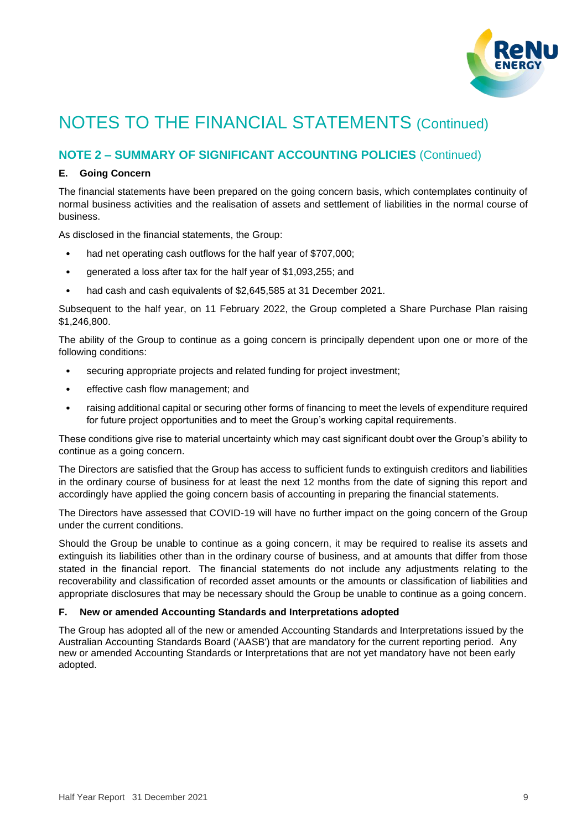

## **NOTE 2 – SUMMARY OF SIGNIFICANT ACCOUNTING POLICIES** (Continued)

### **E. Going Concern**

The financial statements have been prepared on the going concern basis, which contemplates continuity of normal business activities and the realisation of assets and settlement of liabilities in the normal course of business.

As disclosed in the financial statements, the Group:

- had net operating cash outflows for the half year of \$707,000;
- generated a loss after tax for the half year of \$1,093,255; and
- had cash and cash equivalents of \$2,645,585 at 31 December 2021.

Subsequent to the half year, on 11 February 2022, the Group completed a Share Purchase Plan raising \$1,246,800.

The ability of the Group to continue as a going concern is principally dependent upon one or more of the following conditions:

- securing appropriate projects and related funding for project investment;
- effective cash flow management; and
- raising additional capital or securing other forms of financing to meet the levels of expenditure required for future project opportunities and to meet the Group's working capital requirements.

These conditions give rise to material uncertainty which may cast significant doubt over the Group's ability to continue as a going concern.

The Directors are satisfied that the Group has access to sufficient funds to extinguish creditors and liabilities in the ordinary course of business for at least the next 12 months from the date of signing this report and accordingly have applied the going concern basis of accounting in preparing the financial statements.

The Directors have assessed that COVID-19 will have no further impact on the going concern of the Group under the current conditions.

Should the Group be unable to continue as a going concern, it may be required to realise its assets and extinguish its liabilities other than in the ordinary course of business, and at amounts that differ from those stated in the financial report. The financial statements do not include any adjustments relating to the recoverability and classification of recorded asset amounts or the amounts or classification of liabilities and appropriate disclosures that may be necessary should the Group be unable to continue as a going concern.

### **F. New or amended Accounting Standards and Interpretations adopted**

The Group has adopted all of the new or amended Accounting Standards and Interpretations issued by the Australian Accounting Standards Board ('AASB') that are mandatory for the current reporting period. Any new or amended Accounting Standards or Interpretations that are not yet mandatory have not been early adopted.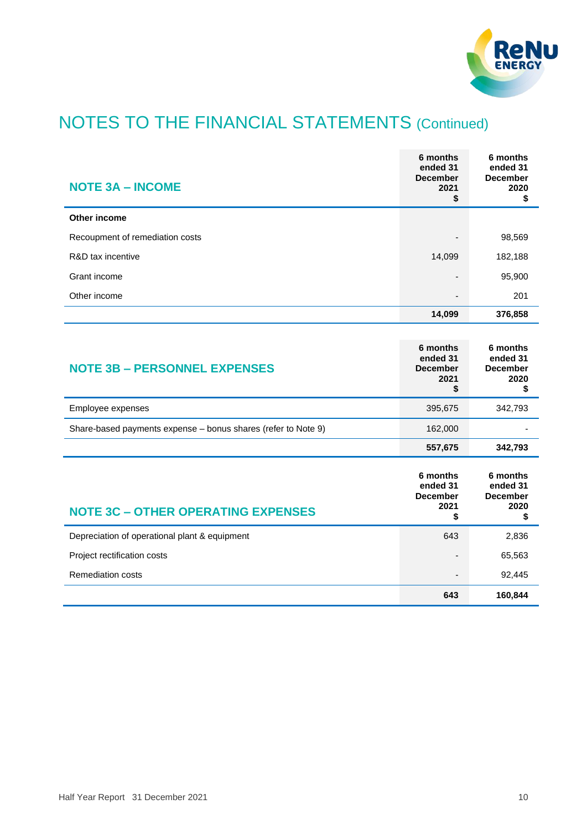

| <b>NOTE 3A - INCOME</b>         | 6 months<br>ended 31<br><b>December</b><br>2021<br>\$ | 6 months<br>ended 31<br><b>December</b><br>2020<br>\$ |
|---------------------------------|-------------------------------------------------------|-------------------------------------------------------|
| Other income                    |                                                       |                                                       |
| Recoupment of remediation costs |                                                       | 98,569                                                |
| R&D tax incentive               | 14,099                                                | 182,188                                               |
| Grant income                    |                                                       | 95,900                                                |
| Other income                    | ٠                                                     | 201                                                   |
|                                 | 14,099                                                | 376,858                                               |

| <b>NOTE 3B - PERSONNEL EXPENSES</b>                           | 6 months<br>ended 31<br><b>December</b><br>2021<br>\$ | 6 months<br>ended 31<br><b>December</b><br>2020<br>\$ |
|---------------------------------------------------------------|-------------------------------------------------------|-------------------------------------------------------|
| Employee expenses                                             | 395,675                                               | 342,793                                               |
| Share-based payments expense – bonus shares (refer to Note 9) | 162,000                                               |                                                       |
|                                                               | 557,675                                               | 342,793                                               |
|                                                               |                                                       |                                                       |
| <b>NOTE 3C - OTHER OPERATING EXPENSES</b>                     | 6 months<br>ended 31<br><b>December</b><br>2021<br>S  | 6 months<br>ended 31<br><b>December</b><br>2020<br>\$ |
| Depreciation of operational plant & equipment                 | 643                                                   | 2,836                                                 |
| Project rectification costs                                   |                                                       | 65,563                                                |
| Remediation costs                                             |                                                       | 92,445                                                |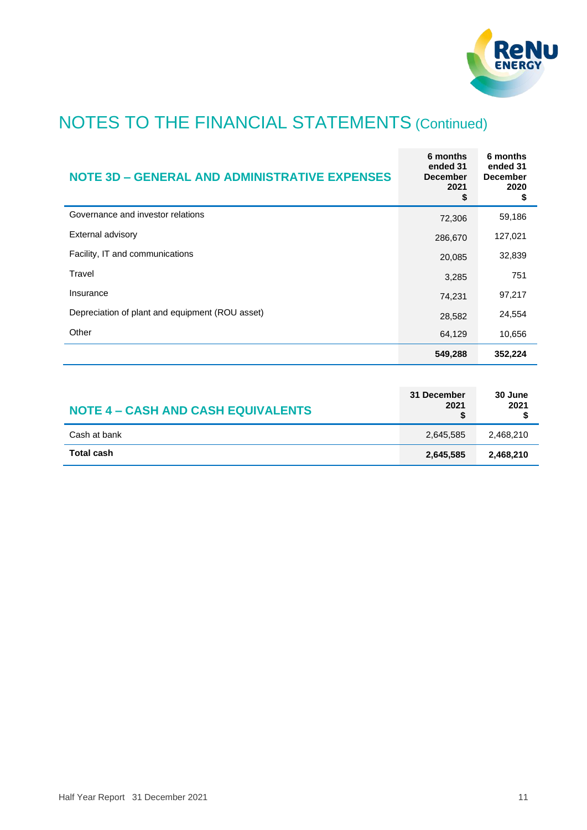

| <b>NOTE 3D - GENERAL AND ADMINISTRATIVE EXPENSES</b> | 6 months<br>ended 31<br><b>December</b><br>2021<br>\$ | 6 months<br>ended 31<br><b>December</b><br>2020<br>\$ |
|------------------------------------------------------|-------------------------------------------------------|-------------------------------------------------------|
| Governance and investor relations                    | 72,306                                                | 59,186                                                |
| <b>External advisory</b>                             | 286,670                                               | 127,021                                               |
| Facility, IT and communications                      | 20,085                                                | 32,839                                                |
| Travel                                               | 3,285                                                 | 751                                                   |
| Insurance                                            | 74,231                                                | 97,217                                                |
| Depreciation of plant and equipment (ROU asset)      | 28,582                                                | 24,554                                                |
| Other                                                | 64,129                                                | 10,656                                                |
|                                                      | 549,288                                               | 352,224                                               |

| <b>NOTE 4 - CASH AND CASH EQUIVALENTS</b> | 31 December<br>2021<br>S | 30 June<br>2021 |
|-------------------------------------------|--------------------------|-----------------|
| Cash at bank                              | 2.645.585                | 2,468,210       |
| <b>Total cash</b>                         | 2,645,585                | 2,468,210       |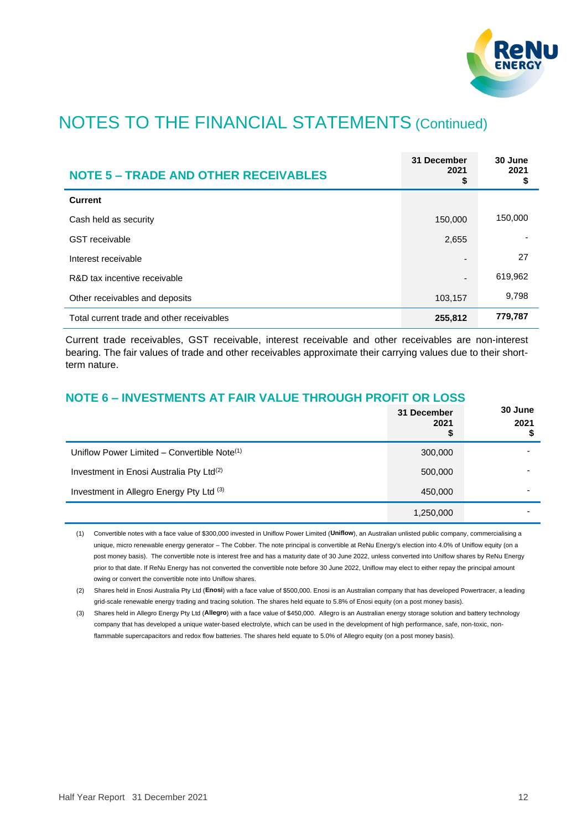

| <b>NOTE 5 - TRADE AND OTHER RECEIVABLES</b> | 31 December<br>2021<br>\$ | 30 June<br>2021<br>\$ |
|---------------------------------------------|---------------------------|-----------------------|
| <b>Current</b>                              |                           |                       |
| Cash held as security                       | 150,000                   | 150,000               |
| GST receivable                              | 2,655                     |                       |
| Interest receivable                         |                           | 27                    |
| R&D tax incentive receivable                |                           | 619,962               |
| Other receivables and deposits              | 103,157                   | 9,798                 |
| Total current trade and other receivables   | 255,812                   | 779,787               |

Current trade receivables, GST receivable, interest receivable and other receivables are non-interest bearing. The fair values of trade and other receivables approximate their carrying values due to their shortterm nature.

## **NOTE 6 – INVESTMENTS AT FAIR VALUE THROUGH PROFIT OR LOSS**

|                                                      | 31 December<br>2021<br>\$ | 30 June<br>2021 |
|------------------------------------------------------|---------------------------|-----------------|
| Uniflow Power Limited - Convertible Note(1)          | 300,000                   |                 |
| Investment in Enosi Australia Pty Ltd <sup>(2)</sup> | 500,000                   |                 |
| Investment in Allegro Energy Pty Ltd (3)             | 450,000                   |                 |
|                                                      | 1,250,000                 |                 |

(1) Convertible notes with a face value of \$300,000 invested in Uniflow Power Limited (**Uniflow**), an Australian unlisted public company, commercialising a unique, micro renewable energy generator – The Cobber. The note principal is convertible at ReNu Energy's election into 4.0% of Uniflow equity (on a post money basis). The convertible note is interest free and has a maturity date of 30 June 2022, unless converted into Uniflow shares by ReNu Energy prior to that date. If ReNu Energy has not converted the convertible note before 30 June 2022, Uniflow may elect to either repay the principal amount owing or convert the convertible note into Uniflow shares.

(2) Shares held in Enosi Australia Pty Ltd (**Enosi**) with a face value of \$500,000. Enosi is an Australian company that has developed Powertracer, a leading grid-scale renewable energy trading and tracing solution. The shares held equate to 5.8% of Enosi equity (on a post money basis).

(3) Shares held in Allegro Energy Pty Ltd (**Allegro**) with a face value of \$450,000. Allegro is an Australian energy storage solution and battery technology company that has developed a unique water-based electrolyte, which can be used in the development of high performance, safe, non-toxic, nonflammable supercapacitors and redox flow batteries. The shares held equate to 5.0% of Allegro equity (on a post money basis).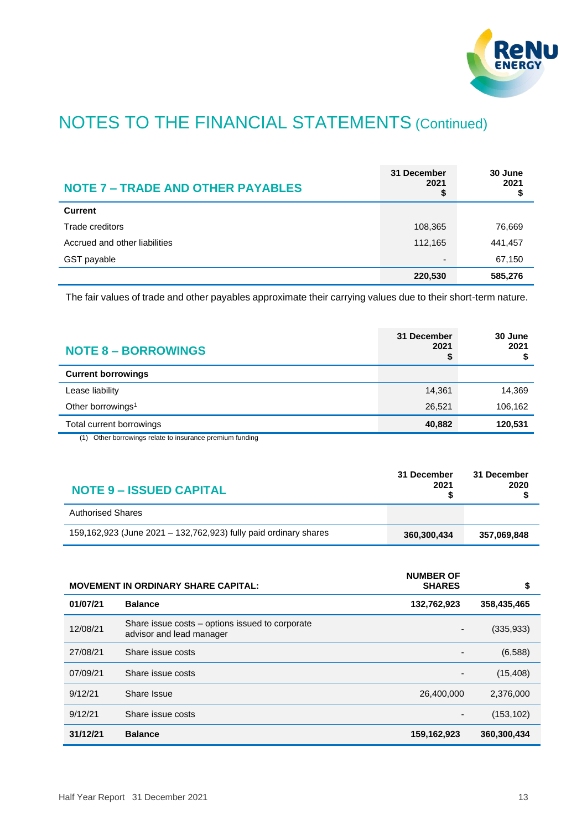

| <b>NOTE 7 - TRADE AND OTHER PAYABLES</b> | 31 December<br>2021<br>\$ | 30 June<br>2021<br>\$ |
|------------------------------------------|---------------------------|-----------------------|
| Current                                  |                           |                       |
| Trade creditors                          | 108,365                   | 76,669                |
| Accrued and other liabilities            | 112,165                   | 441,457               |
| GST payable                              | $\overline{\phantom{a}}$  | 67,150                |
|                                          | 220,530                   | 585,276               |

The fair values of trade and other payables approximate their carrying values due to their short-term nature.

| <b>NOTE 8 - BORROWINGS</b>                                      | 31 December<br>2021<br>⊅ | 30 June<br>2021 |
|-----------------------------------------------------------------|--------------------------|-----------------|
| <b>Current borrowings</b>                                       |                          |                 |
| Lease liability                                                 | 14,361                   | 14,369          |
| Other borrowings <sup>1</sup>                                   | 26,521                   | 106,162         |
| Total current borrowings<br>$\cdots$ $\cdots$ $\cdots$ $\cdots$ | 40,882                   | 120,531         |

(1) Other borrowings relate to insurance premium funding

| <b>NOTE 9 - ISSUED CAPITAL</b>                                   | 31 December<br>2021 | 31 December<br>2020 |
|------------------------------------------------------------------|---------------------|---------------------|
| <b>Authorised Shares</b>                                         |                     |                     |
| 159,162,923 (June 2021 - 132,762,923) fully paid ordinary shares | 360,300,434         | 357,069,848         |

|          | <b>MOVEMENT IN ORDINARY SHARE CAPITAL:</b>                                  | <b>NUMBER OF</b><br><b>SHARES</b> | \$          |
|----------|-----------------------------------------------------------------------------|-----------------------------------|-------------|
| 01/07/21 | <b>Balance</b>                                                              | 132,762,923                       | 358,435,465 |
| 12/08/21 | Share issue costs – options issued to corporate<br>advisor and lead manager |                                   | (335, 933)  |
| 27/08/21 | Share issue costs                                                           | $\overline{\phantom{a}}$          | (6,588)     |
| 07/09/21 | Share issue costs                                                           |                                   | (15, 408)   |
| 9/12/21  | Share Issue                                                                 | 26,400,000                        | 2,376,000   |
| 9/12/21  | Share issue costs                                                           |                                   | (153, 102)  |
| 31/12/21 | <b>Balance</b>                                                              | 159,162,923                       | 360,300,434 |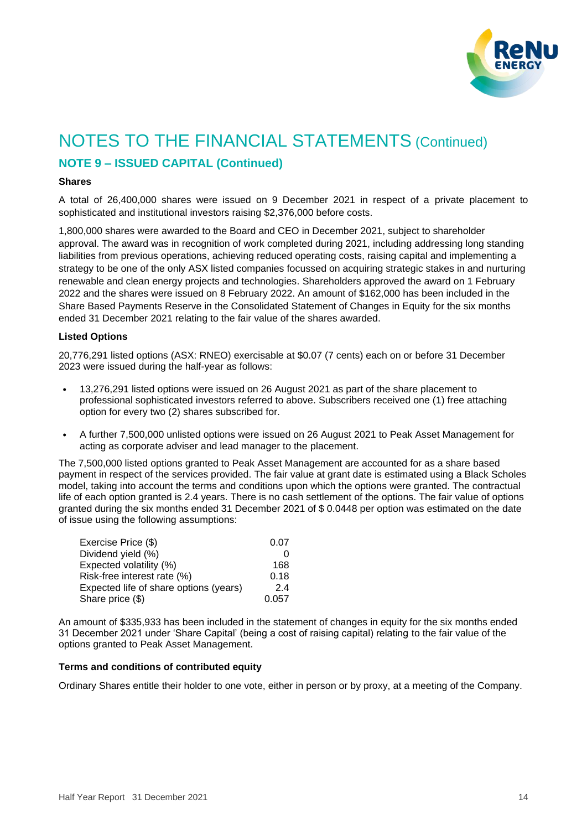

## **NOTE 9 – ISSUED CAPITAL (Continued)**

#### **Shares**

A total of 26,400,000 shares were issued on 9 December 2021 in respect of a private placement to sophisticated and institutional investors raising \$2,376,000 before costs.

1,800,000 shares were awarded to the Board and CEO in December 2021, subject to shareholder approval. The award was in recognition of work completed during 2021, including addressing long standing liabilities from previous operations, achieving reduced operating costs, raising capital and implementing a strategy to be one of the only ASX listed companies focussed on acquiring strategic stakes in and nurturing renewable and clean energy projects and technologies. Shareholders approved the award on 1 February 2022 and the shares were issued on 8 February 2022. An amount of \$162,000 has been included in the Share Based Payments Reserve in the Consolidated Statement of Changes in Equity for the six months ended 31 December 2021 relating to the fair value of the shares awarded.

### **Listed Options**

20,776,291 listed options (ASX: RNEO) exercisable at \$0.07 (7 cents) each on or before 31 December 2023 were issued during the half-year as follows:

- 13,276,291 listed options were issued on 26 August 2021 as part of the share placement to professional sophisticated investors referred to above. Subscribers received one (1) free attaching option for every two (2) shares subscribed for.
- A further 7,500,000 unlisted options were issued on 26 August 2021 to Peak Asset Management for acting as corporate adviser and lead manager to the placement.

The 7,500,000 listed options granted to Peak Asset Management are accounted for as a share based payment in respect of the services provided. The fair value at grant date is estimated using a Black Scholes model, taking into account the terms and conditions upon which the options were granted. The contractual life of each option granted is 2.4 years. There is no cash settlement of the options. The fair value of options granted during the six months ended 31 December 2021 of \$ 0.0448 per option was estimated on the date of issue using the following assumptions:

| Exercise Price (\$)                    | 0.07  |
|----------------------------------------|-------|
| Dividend yield (%)                     |       |
| Expected volatility (%)                | 168   |
| Risk-free interest rate (%)            | 0.18  |
| Expected life of share options (years) | 2.4   |
| Share price (\$)                       | 0.057 |

An amount of \$335,933 has been included in the statement of changes in equity for the six months ended 31 December 2021 under 'Share Capital' (being a cost of raising capital) relating to the fair value of the options granted to Peak Asset Management.

### **Terms and conditions of contributed equity**

Ordinary Shares entitle their holder to one vote, either in person or by proxy, at a meeting of the Company.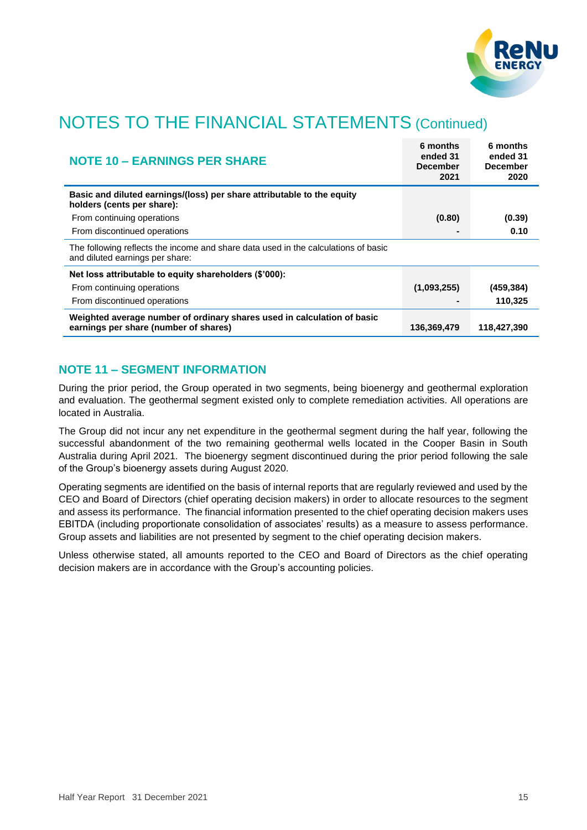

| <b>NOTE 10 - EARNINGS PER SHARE</b>                                                                                   | 6 months<br>ended 31<br><b>December</b><br>2021 | 6 months<br>ended 31<br><b>December</b><br>2020 |
|-----------------------------------------------------------------------------------------------------------------------|-------------------------------------------------|-------------------------------------------------|
| Basic and diluted earnings/(loss) per share attributable to the equity<br>holders (cents per share):                  |                                                 |                                                 |
| From continuing operations                                                                                            | (0.80)                                          | (0.39)                                          |
| From discontinued operations                                                                                          |                                                 | 0.10                                            |
| The following reflects the income and share data used in the calculations of basic<br>and diluted earnings per share: |                                                 |                                                 |
| Net loss attributable to equity shareholders (\$'000):                                                                |                                                 |                                                 |
| From continuing operations                                                                                            | (1,093,255)                                     | (459, 384)                                      |
| From discontinued operations                                                                                          |                                                 | 110,325                                         |
| Weighted average number of ordinary shares used in calculation of basic<br>earnings per share (number of shares)      | 136,369,479                                     | 118,427,390                                     |

## **NOTE 11 – SEGMENT INFORMATION**

During the prior period, the Group operated in two segments, being bioenergy and geothermal exploration and evaluation. The geothermal segment existed only to complete remediation activities. All operations are located in Australia.

The Group did not incur any net expenditure in the geothermal segment during the half year, following the successful abandonment of the two remaining geothermal wells located in the Cooper Basin in South Australia during April 2021. The bioenergy segment discontinued during the prior period following the sale of the Group's bioenergy assets during August 2020.

Operating segments are identified on the basis of internal reports that are regularly reviewed and used by the CEO and Board of Directors (chief operating decision makers) in order to allocate resources to the segment and assess its performance. The financial information presented to the chief operating decision makers uses EBITDA (including proportionate consolidation of associates' results) as a measure to assess performance. Group assets and liabilities are not presented by segment to the chief operating decision makers.

Unless otherwise stated, all amounts reported to the CEO and Board of Directors as the chief operating decision makers are in accordance with the Group's accounting policies.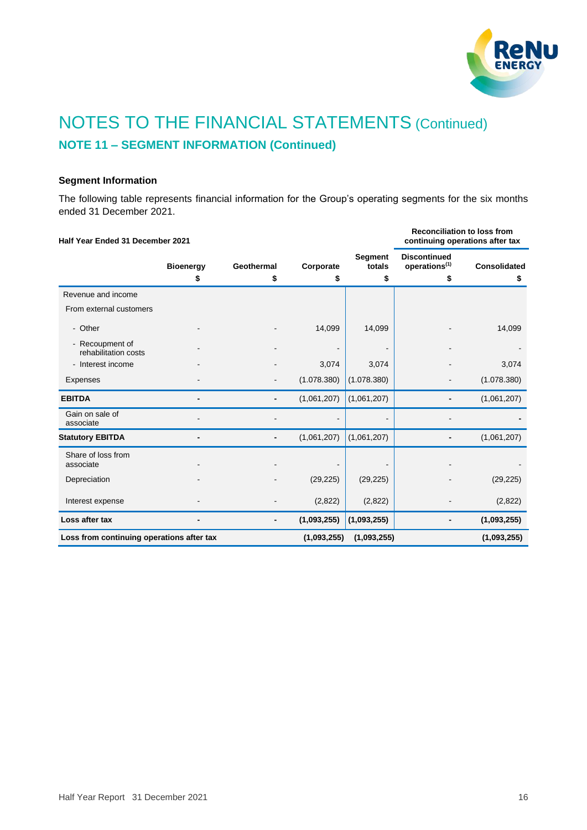

# NOTES TO THE FINANCIAL STATEMENTS (Continued) **NOTE 11 – SEGMENT INFORMATION (Continued)**

### **Segment Information**

The following table represents financial information for the Group's operating segments for the six months ended 31 December 2021.

| Half Year Ended 31 December 2021          |                  |                |             | <b>Reconciliation to loss from</b><br>continuing operations after tax |                                                  |                     |
|-------------------------------------------|------------------|----------------|-------------|-----------------------------------------------------------------------|--------------------------------------------------|---------------------|
|                                           | <b>Bioenergy</b> | Geothermal     | Corporate   | <b>Segment</b><br>totals                                              | <b>Discontinued</b><br>operations <sup>(1)</sup> | <b>Consolidated</b> |
|                                           | \$               | \$             | \$          | \$                                                                    | \$                                               | \$                  |
| Revenue and income                        |                  |                |             |                                                                       |                                                  |                     |
| From external customers                   |                  |                |             |                                                                       |                                                  |                     |
| - Other                                   |                  |                | 14,099      | 14,099                                                                |                                                  | 14,099              |
| - Recoupment of<br>rehabilitation costs   |                  |                |             |                                                                       |                                                  |                     |
| - Interest income                         |                  |                | 3,074       | 3,074                                                                 |                                                  | 3,074               |
| <b>Expenses</b>                           |                  |                | (1.078.380) | (1.078.380)                                                           |                                                  | (1.078.380)         |
| <b>EBITDA</b>                             |                  | $\blacksquare$ | (1,061,207) | (1,061,207)                                                           |                                                  | (1,061,207)         |
| Gain on sale of<br>associate              |                  |                |             |                                                                       |                                                  |                     |
| <b>Statutory EBITDA</b>                   |                  |                | (1,061,207) | (1,061,207)                                                           |                                                  | (1,061,207)         |
| Share of loss from<br>associate           |                  |                |             |                                                                       |                                                  |                     |
| Depreciation                              |                  |                | (29, 225)   | (29, 225)                                                             |                                                  | (29, 225)           |
| Interest expense                          |                  |                | (2,822)     | (2,822)                                                               |                                                  | (2,822)             |
| Loss after tax                            |                  |                | (1,093,255) | (1,093,255)                                                           | -                                                | (1,093,255)         |
| Loss from continuing operations after tax |                  |                | (1,093,255) | (1,093,255)                                                           |                                                  | (1,093,255)         |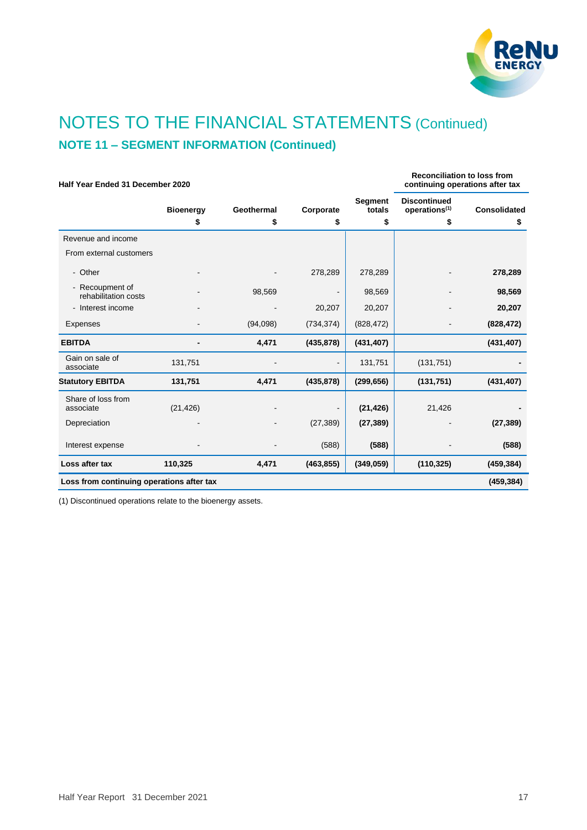

# NOTES TO THE FINANCIAL STATEMENTS (Continued) **NOTE 11 – SEGMENT INFORMATION (Continued)**

| Half Year Ended 31 December 2020              |                        |                  |                      |                                |                                                        | <b>Reconciliation to loss from</b><br>continuing operations after tax |
|-----------------------------------------------|------------------------|------------------|----------------------|--------------------------------|--------------------------------------------------------|-----------------------------------------------------------------------|
|                                               | <b>Bioenergy</b><br>\$ | Geothermal<br>\$ | Corporate<br>\$      | <b>Segment</b><br>totals<br>\$ | <b>Discontinued</b><br>operations <sup>(1)</sup><br>\$ | <b>Consolidated</b><br>\$                                             |
| Revenue and income<br>From external customers |                        |                  |                      |                                |                                                        |                                                                       |
| - Other                                       |                        |                  | 278,289              | 278,289                        |                                                        | 278,289                                                               |
| - Recoupment of<br>rehabilitation costs       |                        | 98,569           |                      | 98,569                         |                                                        | 98,569                                                                |
| - Interest income<br><b>Expenses</b>          |                        | (94,098)         | 20,207<br>(734, 374) | 20,207<br>(828, 472)           |                                                        | 20,207<br>(828, 472)                                                  |
| <b>EBITDA</b>                                 |                        | 4,471            | (435, 878)           | (431, 407)                     |                                                        | (431, 407)                                                            |
| Gain on sale of<br>associate                  | 131,751                |                  | $\blacksquare$       | 131,751                        | (131, 751)                                             |                                                                       |
| <b>Statutory EBITDA</b>                       | 131,751                | 4,471            | (435, 878)           | (299, 656)                     | (131, 751)                                             | (431, 407)                                                            |
| Share of loss from<br>associate               | (21, 426)              |                  |                      | (21, 426)                      | 21,426                                                 |                                                                       |
| Depreciation                                  |                        |                  | (27, 389)            | (27, 389)                      |                                                        | (27, 389)                                                             |
| Interest expense                              |                        |                  | (588)                | (588)                          |                                                        | (588)                                                                 |
| Loss after tax                                | 110,325                | 4,471            | (463, 855)           | (349, 059)                     | (110, 325)                                             | (459, 384)                                                            |
| Loss from continuing operations after tax     |                        |                  |                      |                                |                                                        | (459, 384)                                                            |

(1) Discontinued operations relate to the bioenergy assets.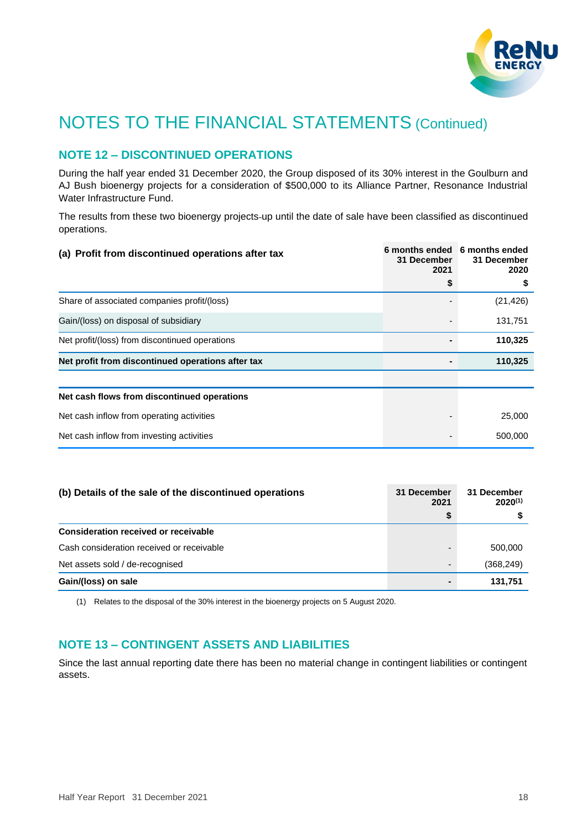

## **NOTE 12 – DISCONTINUED OPERATIONS**

During the half year ended 31 December 2020, the Group disposed of its 30% interest in the Goulburn and AJ Bush bioenergy projects for a consideration of \$500,000 to its Alliance Partner, Resonance Industrial Water Infrastructure Fund.

The results from these two bioenergy projects up until the date of sale have been classified as discontinued operations.

| (a) Profit from discontinued operations after tax | 6 months ended 6 months ended<br>31 December<br>2021 | 31 December<br>2020 |
|---------------------------------------------------|------------------------------------------------------|---------------------|
|                                                   | \$                                                   | \$                  |
| Share of associated companies profit/(loss)       |                                                      | (21, 426)           |
| Gain/(loss) on disposal of subsidiary             |                                                      | 131,751             |
| Net profit/(loss) from discontinued operations    |                                                      | 110,325             |
| Net profit from discontinued operations after tax |                                                      | 110,325             |
|                                                   |                                                      |                     |
| Net cash flows from discontinued operations       |                                                      |                     |
| Net cash inflow from operating activities         |                                                      | 25,000              |
| Net cash inflow from investing activities         |                                                      | 500,000             |

| (b) Details of the sale of the discontinued operations | 31 December<br>2021<br>\$ | 31 December<br>$2020^{(1)}$ |
|--------------------------------------------------------|---------------------------|-----------------------------|
| Consideration received or receivable                   |                           |                             |
| Cash consideration received or receivable              | -                         | 500,000                     |
| Net assets sold / de-recognised                        | $\overline{\phantom{0}}$  | (368, 249)                  |
| Gain/(loss) on sale                                    | -                         | 131.751                     |

(1) Relates to the disposal of the 30% interest in the bioenergy projects on 5 August 2020.

## **NOTE 13 – CONTINGENT ASSETS AND LIABILITIES**

Since the last annual reporting date there has been no material change in contingent liabilities or contingent assets.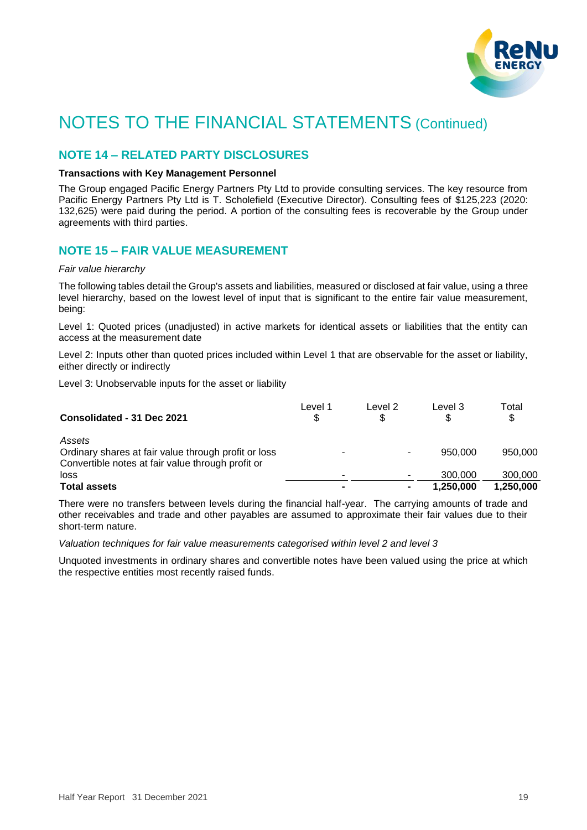

## **NOTE 14 – RELATED PARTY DISCLOSURES**

### **Transactions with Key Management Personnel**

The Group engaged Pacific Energy Partners Pty Ltd to provide consulting services. The key resource from Pacific Energy Partners Pty Ltd is T. Scholefield (Executive Director). Consulting fees of \$125,223 (2020: 132,625) were paid during the period. A portion of the consulting fees is recoverable by the Group under agreements with third parties.

## **NOTE 15 – FAIR VALUE MEASUREMENT**

### *Fair value hierarchy*

The following tables detail the Group's assets and liabilities, measured or disclosed at fair value, using a three level hierarchy, based on the lowest level of input that is significant to the entire fair value measurement, being:

Level 1: Quoted prices (unadjusted) in active markets for identical assets or liabilities that the entity can access at the measurement date

Level 2: Inputs other than quoted prices included within Level 1 that are observable for the asset or liability, either directly or indirectly

Level 3: Unobservable inputs for the asset or liability

| Consolidated - 31 Dec 2021                                                                                          | Level 1<br>\$ | Level 2<br>\$  | Level 3   | Total<br>\$ |
|---------------------------------------------------------------------------------------------------------------------|---------------|----------------|-----------|-------------|
| Assets<br>Ordinary shares at fair value through profit or loss<br>Convertible notes at fair value through profit or |               | ۰              | 950,000   | 950,000     |
| loss                                                                                                                | ۰             | ٠              | 300,000   | 300,000     |
| <b>Total assets</b>                                                                                                 |               | $\blacksquare$ | 1,250,000 | 1,250,000   |

There were no transfers between levels during the financial half-year. The carrying amounts of trade and other receivables and trade and other payables are assumed to approximate their fair values due to their short-term nature.

*Valuation techniques for fair value measurements categorised within level 2 and level 3*

Unquoted investments in ordinary shares and convertible notes have been valued using the price at which the respective entities most recently raised funds.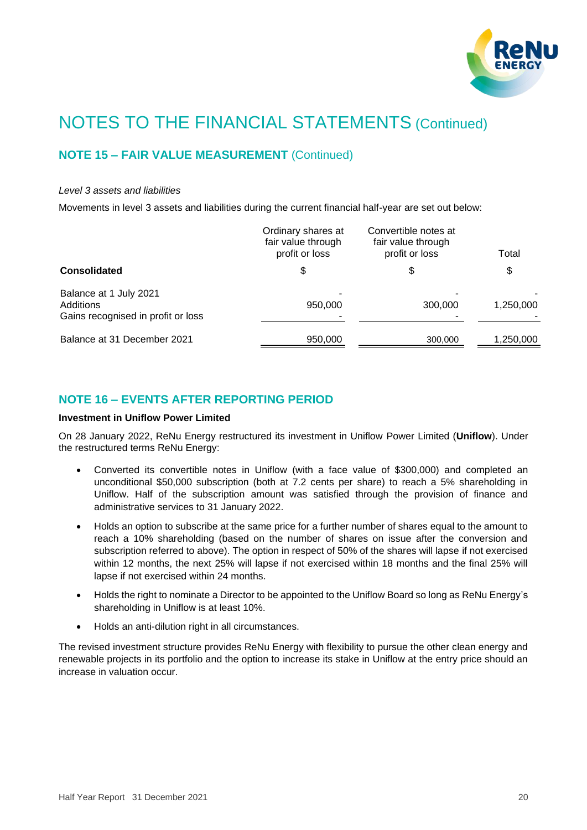

## **NOTE 15 – FAIR VALUE MEASUREMENT** (Continued)

### *Level 3 assets and liabilities*

Movements in level 3 assets and liabilities during the current financial half-year are set out below:

| Ordinary shares at<br>fair value through<br>profit or loss | Convertible notes at<br>fair value through<br>profit or loss | Total<br>\$ |
|------------------------------------------------------------|--------------------------------------------------------------|-------------|
| \$                                                         | \$                                                           |             |
| 950,000                                                    | 300,000                                                      | 1,250,000   |
| 950,000                                                    | 300,000                                                      | 1,250,000   |
|                                                            |                                                              |             |

## **NOTE 16 – EVENTS AFTER REPORTING PERIOD**

### **Investment in Uniflow Power Limited**

On 28 January 2022, ReNu Energy restructured its investment in Uniflow Power Limited (**Uniflow**). Under the restructured terms ReNu Energy:

- Converted its convertible notes in Uniflow (with a face value of \$300,000) and completed an unconditional \$50,000 subscription (both at 7.2 cents per share) to reach a 5% shareholding in Uniflow. Half of the subscription amount was satisfied through the provision of finance and administrative services to 31 January 2022.
- Holds an option to subscribe at the same price for a further number of shares equal to the amount to reach a 10% shareholding (based on the number of shares on issue after the conversion and subscription referred to above). The option in respect of 50% of the shares will lapse if not exercised within 12 months, the next 25% will lapse if not exercised within 18 months and the final 25% will lapse if not exercised within 24 months.
- Holds the right to nominate a Director to be appointed to the Uniflow Board so long as ReNu Energy's shareholding in Uniflow is at least 10%.
- Holds an anti-dilution right in all circumstances.

The revised investment structure provides ReNu Energy with flexibility to pursue the other clean energy and renewable projects in its portfolio and the option to increase its stake in Uniflow at the entry price should an increase in valuation occur.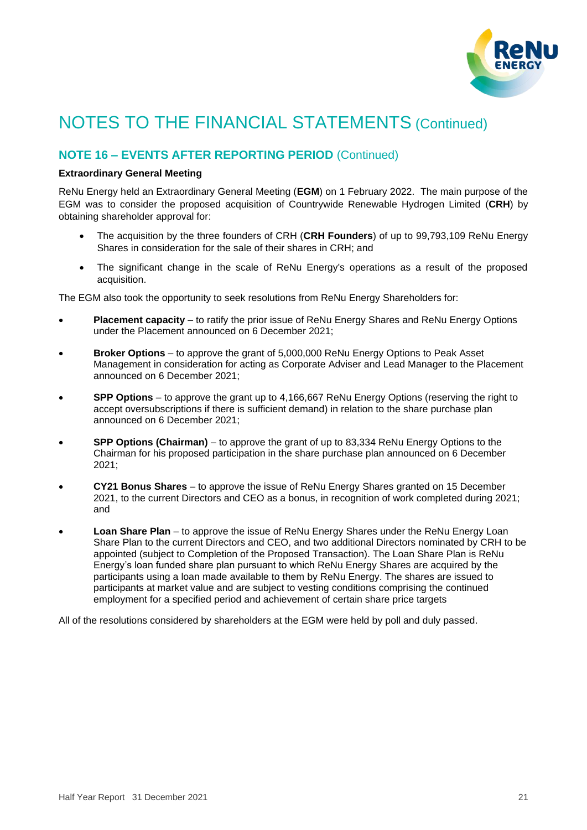

## **NOTE 16 – EVENTS AFTER REPORTING PERIOD** (Continued)

### **Extraordinary General Meeting**

ReNu Energy held an Extraordinary General Meeting (**EGM**) on 1 February 2022. The main purpose of the EGM was to consider the proposed acquisition of Countrywide Renewable Hydrogen Limited (**CRH**) by obtaining shareholder approval for:

- The acquisition by the three founders of CRH (**CRH Founders**) of up to 99,793,109 ReNu Energy Shares in consideration for the sale of their shares in CRH; and
- The significant change in the scale of ReNu Energy's operations as a result of the proposed acquisition.

The EGM also took the opportunity to seek resolutions from ReNu Energy Shareholders for:

- **Placement capacity** to ratify the prior issue of ReNu Energy Shares and ReNu Energy Options under the Placement announced on 6 December 2021;
- **Broker Options** to approve the grant of 5,000,000 ReNu Energy Options to Peak Asset Management in consideration for acting as Corporate Adviser and Lead Manager to the Placement announced on 6 December 2021;
- **SPP Options** to approve the grant up to 4,166,667 ReNu Energy Options (reserving the right to accept oversubscriptions if there is sufficient demand) in relation to the share purchase plan announced on 6 December 2021;
- **SPP Options (Chairman)** to approve the grant of up to 83,334 ReNu Energy Options to the Chairman for his proposed participation in the share purchase plan announced on 6 December 2021;
- **CY21 Bonus Shares** to approve the issue of ReNu Energy Shares granted on 15 December 2021, to the current Directors and CEO as a bonus, in recognition of work completed during 2021; and
- **Loan Share Plan** to approve the issue of ReNu Energy Shares under the ReNu Energy Loan Share Plan to the current Directors and CEO, and two additional Directors nominated by CRH to be appointed (subject to Completion of the Proposed Transaction). The Loan Share Plan is ReNu Energy's loan funded share plan pursuant to which ReNu Energy Shares are acquired by the participants using a loan made available to them by ReNu Energy. The shares are issued to participants at market value and are subject to vesting conditions comprising the continued employment for a specified period and achievement of certain share price targets

All of the resolutions considered by shareholders at the EGM were held by poll and duly passed.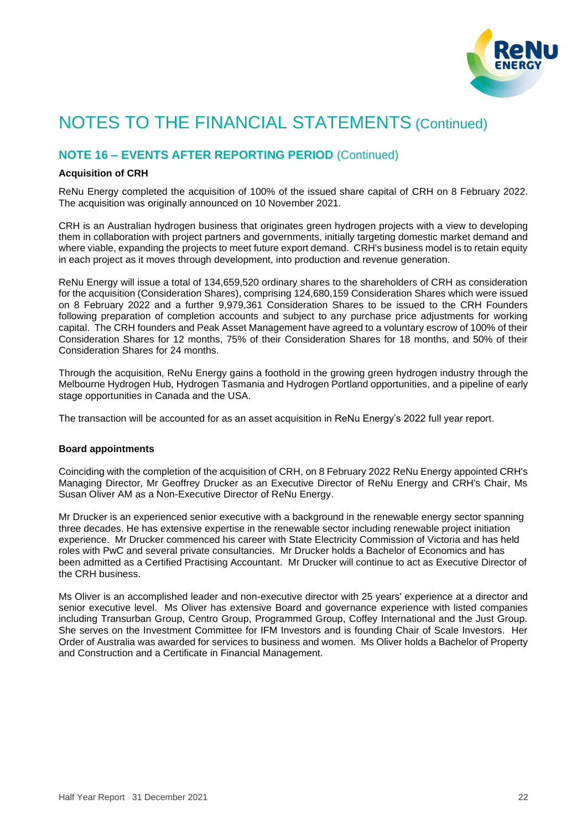

## **NOTE 16 – EVENTS AFTER REPORTING PERIOD** (Continued)

### **Acquisition of CRH**

ReNu Energy completed the acquisition of 100% of the issued share capital of CRH on 8 February 2022. The acquisition was originally announced on 10 November 2021.

CRH is an Australian hydrogen business that originates green hydrogen projects with a view to developing them in collaboration with project partners and governments, initially targeting domestic market demand and where viable, expanding the projects to meet future export demand. CRH's business model is to retain equity in each project as it moves through development, into production and revenue generation.

ReNu Energy will issue a total of 134,659,520 ordinary shares to the shareholders of CRH as consideration for the acquisition (Consideration Shares), comprising 124,680,159 Consideration Shares which were issued on 8 February 2022 and a further 9,979,361 Consideration Shares to be issued to the CRH Founders following preparation of completion accounts and subject to any purchase price adjustments for working capital. The CRH founders and Peak Asset Management have agreed to a voluntary escrow of 100% of their Consideration Shares for 12 months, 75% of their Consideration Shares for 18 months, and 50% of their Consideration Shares for 24 months.

Through the acquisition, ReNu Energy gains a foothold in the growing green hydrogen industry through the Melbourne Hydrogen Hub, Hydrogen Tasmania and Hydrogen Portland opportunities, and a pipeline of early stage opportunities in Canada and the USA.

The transaction will be accounted for as an asset acquisition in ReNu Energy's 2022 full year report.

### **Board appointments**

Coinciding with the completion of the acquisition of CRH, on 8 February 2022 ReNu Energy appointed CRH's Managing Director, Mr Geoffrey Drucker as an Executive Director of ReNu Energy and CRH's Chair, Ms Susan Oliver AM as a Non-Executive Director of ReNu Energy.

Mr Drucker is an experienced senior executive with a background in the renewable energy sector spanning three decades. He has extensive expertise in the renewable sector including renewable project initiation experience. Mr Drucker commenced his career with State Electricity Commission of Victoria and has held roles with PwC and several private consultancies. Mr Drucker holds a Bachelor of Economics and has been admitted as a Certified Practising Accountant. Mr Drucker will continue to act as Executive Director of the CRH business.

Ms Oliver is an accomplished leader and non-executive director with 25 years' experience at a director and senior executive level. Ms Oliver has extensive Board and governance experience with listed companies including Transurban Group, Centro Group, Programmed Group, Coffey International and the Just Group. She serves on the Investment Committee for IFM Investors and is founding Chair of Scale Investors. Her Order of Australia was awarded for services to business and women. Ms Oliver holds a Bachelor of Property and Construction and a Certificate in Financial Management.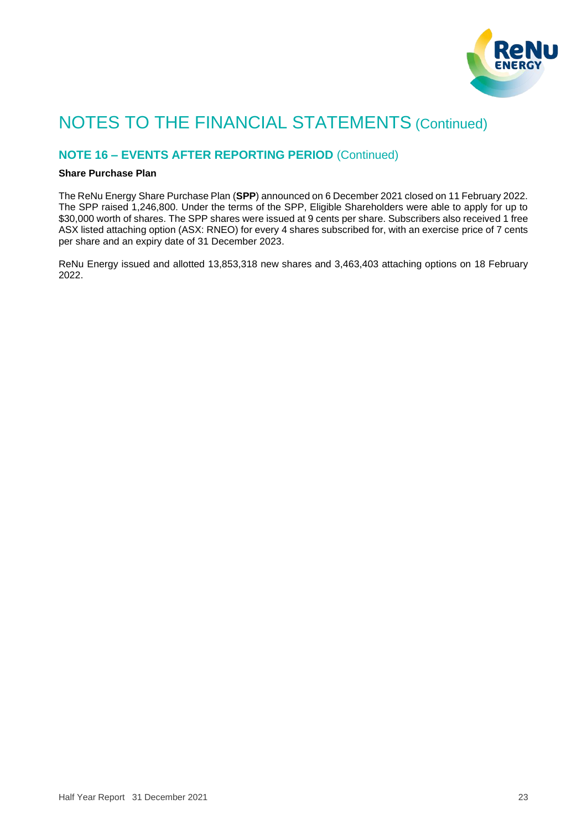

## **NOTE 16 – EVENTS AFTER REPORTING PERIOD** (Continued)

### **Share Purchase Plan**

The ReNu Energy Share Purchase Plan (**SPP**) announced on 6 December 2021 closed on 11 February 2022. The SPP raised 1,246,800. Under the terms of the SPP, Eligible Shareholders were able to apply for up to \$30,000 worth of shares. The SPP shares were issued at 9 cents per share. Subscribers also received 1 free ASX listed attaching option (ASX: RNEO) for every 4 shares subscribed for, with an exercise price of 7 cents per share and an expiry date of 31 December 2023.

ReNu Energy issued and allotted 13,853,318 new shares and 3,463,403 attaching options on 18 February 2022.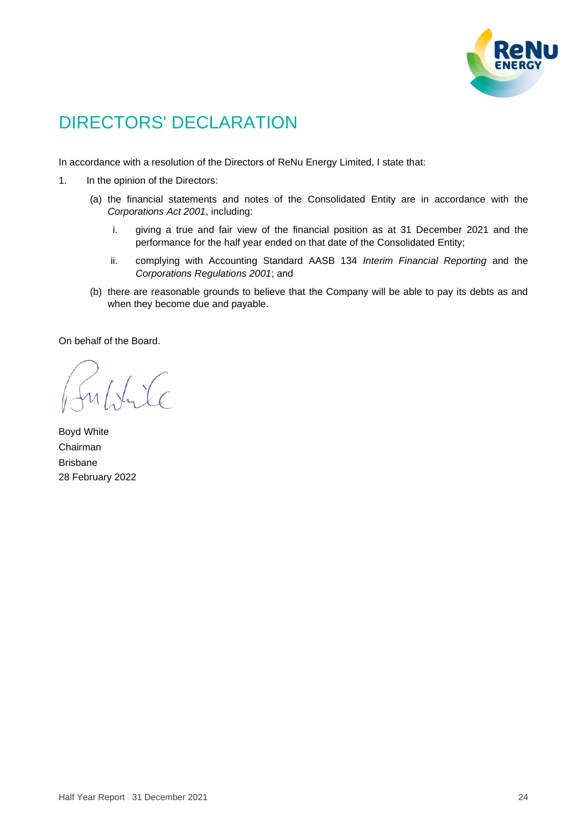

# DIRECTORS' DECLARATION

In accordance with a resolution of the Directors of ReNu Energy Limited, I state that:

- 1. In the opinion of the Directors:
	- (a) the financial statements and notes of the Consolidated Entity are in accordance with the *Corporations Act 2001*, including:
		- i. giving a true and fair view of the financial position as at 31 December 2021 and the performance for the half year ended on that date of the Consolidated Entity;
		- ii. complying with Accounting Standard AASB 134 *Interim Financial Reporting* and the *Corporations Regulations 2001*; and
	- (b) there are reasonable grounds to believe that the Company will be able to pay its debts as and when they become due and payable.

On behalf of the Board.

 $\sqrt{\sqrt{c}}$ 

Boyd White Chairman Brisbane 28 February 2022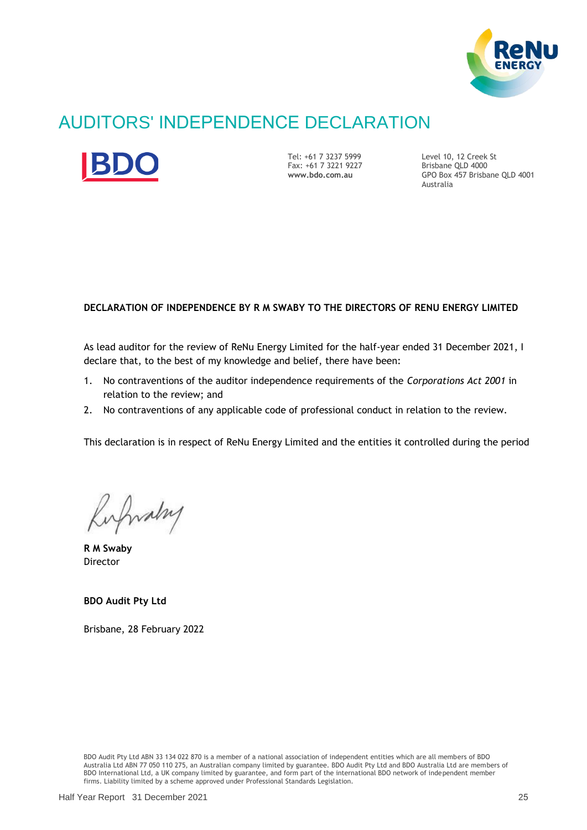

# AUDITORS' INDEPENDENCE DECLARATION



Tel: +61 7 3237 5999 Fax: +61 7 3221 9227 **www.bdo.com.au** 

Level 10, 12 Creek St Brisbane QLD 4000 GPO Box 457 Brisbane QLD 4001 Australia

## **DECLARATION OF INDEPENDENCE BY R M SWABY TO THE DIRECTORS OF RENU ENERGY LIMITED**

As lead auditor for the review of ReNu Energy Limited for the half-year ended 31 December 2021, I declare that, to the best of my knowledge and belief, there have been:

- 1. No contraventions of the auditor independence requirements of the *Corporations Act 2001* in relation to the review; and
- 2. No contraventions of any applicable code of professional conduct in relation to the review.

This declaration is in respect of ReNu Energy Limited and the entities it controlled during the period

ufraly

**R M Swaby**  Director

**BDO Audit Pty Ltd**

Brisbane, 28 February 2022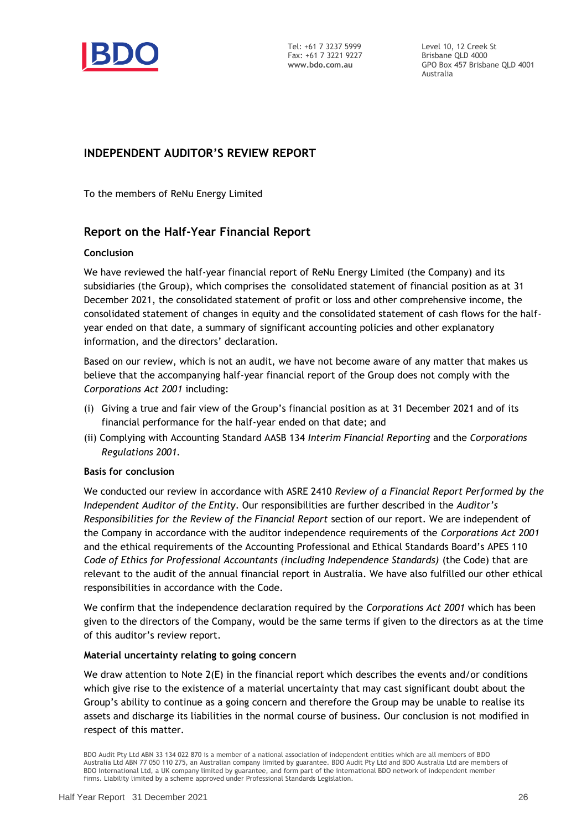

Tel: +61 7 3237 5999 Fax: +61 7 3221 9227 **www.bdo.com.au**

Level 10, 12 Creek St Brisbane QLD 4000 GPO Box 457 Brisbane QLD 4001 Australia

## **INDEPENDENT AUDITOR'S REVIEW REPORT**

To the members of ReNu Energy Limited

## **Report on the Half-Year Financial Report**

### **Conclusion**

We have reviewed the half-year financial report of ReNu Energy Limited (the Company) and its subsidiaries (the Group), which comprises the consolidated statement of financial position as at 31 December 2021, the consolidated statement of profit or loss and other comprehensive income, the consolidated statement of changes in equity and the consolidated statement of cash flows for the halfyear ended on that date, a summary of significant accounting policies and other explanatory information, and the directors' declaration.

Based on our review, which is not an audit, we have not become aware of any matter that makes us believe that the accompanying half-year financial report of the Group does not comply with the *Corporations Act 2001* including:

- (i) Giving a true and fair view of the Group's financial position as at 31 December 2021 and of its financial performance for the half-year ended on that date; and
- (ii) Complying with Accounting Standard AASB 134 *Interim Financial Reporting* and the *Corporations Regulations 2001.*

### **Basis for conclusion**

We conducted our review in accordance with ASRE 2410 *Review of a Financial Report Performed by the Independent Auditor of the Entity*. Our responsibilities are further described in the *Auditor's Responsibilities for the Review of the Financial Report* section of our report. We are independent of the Company in accordance with the auditor independence requirements of the *Corporations Act 2001*  and the ethical requirements of the Accounting Professional and Ethical Standards Board's APES 110 *Code of Ethics for Professional Accountants (including Independence Standards)* (the Code) that are relevant to the audit of the annual financial report in Australia. We have also fulfilled our other ethical responsibilities in accordance with the Code.

We confirm that the independence declaration required by the *Corporations Act 2001* which has been given to the directors of the Company, would be the same terms if given to the directors as at the time of this auditor's review report.

### **Material uncertainty relating to going concern**

We draw attention to Note 2(E) in the financial report which describes the events and/or conditions which give rise to the existence of a material uncertainty that may cast significant doubt about the Group's ability to continue as a going concern and therefore the Group may be unable to realise its assets and discharge its liabilities in the normal course of business. Our conclusion is not modified in respect of this matter.

BDO Audit Pty Ltd ABN 33 134 022 870 is a member of a national association of independent entities which are all members of BDO Australia Ltd ABN 77 050 110 275, an Australian company limited by guarantee. BDO Audit Pty Ltd and BDO Australia Ltd are members of BDO International Ltd, a UK company limited by guarantee, and form part of the international BDO network of independent member firms. Liability limited by a scheme approved under Professional Standards Legislation.